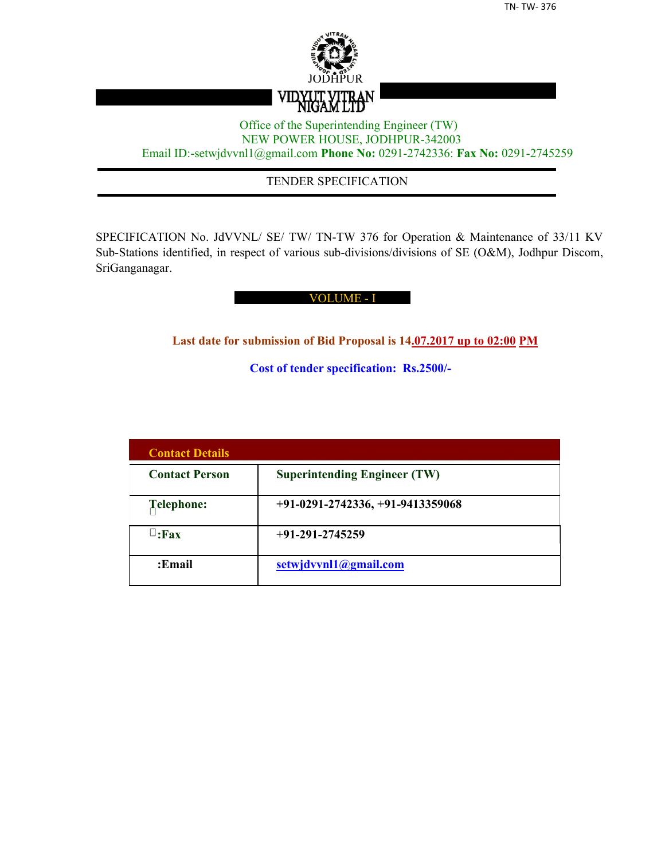

## Office of the Superintending Engineer (TW) NEW POWER HOUSE, JODHPUR-342003 Email ID:-setwjdvvnl1@gmail.com **Phone No:** 0291-2742336: **Fax No:** 0291-2745259

## TENDER SPECIFICATION

SPECIFICATION No. JdVVNL/ SE/ TW/ TN-TW 376 for Operation & Maintenance of 33/11 KV Sub-Stations identified, in respect of various sub-divisions/divisions of SE (O&M), Jodhpur Discom, SriGanganagar.

#### VOLUME - I

**Last date for submission of Bid Proposal is 14.07.2017 up to 02:00 PM**

**Cost of tender specification: Rs.2500/-**

| <b>Contact Details</b> |                                     |
|------------------------|-------------------------------------|
| <b>Contact Person</b>  | <b>Superintending Engineer (TW)</b> |
| Telephone:             | $+91-0291-2742336, +91-9413359068$  |
| $\sqcup$ :Fax          | $+91-291-2745259$                   |
| :Email                 | setwjdvvnl1@gmail.com               |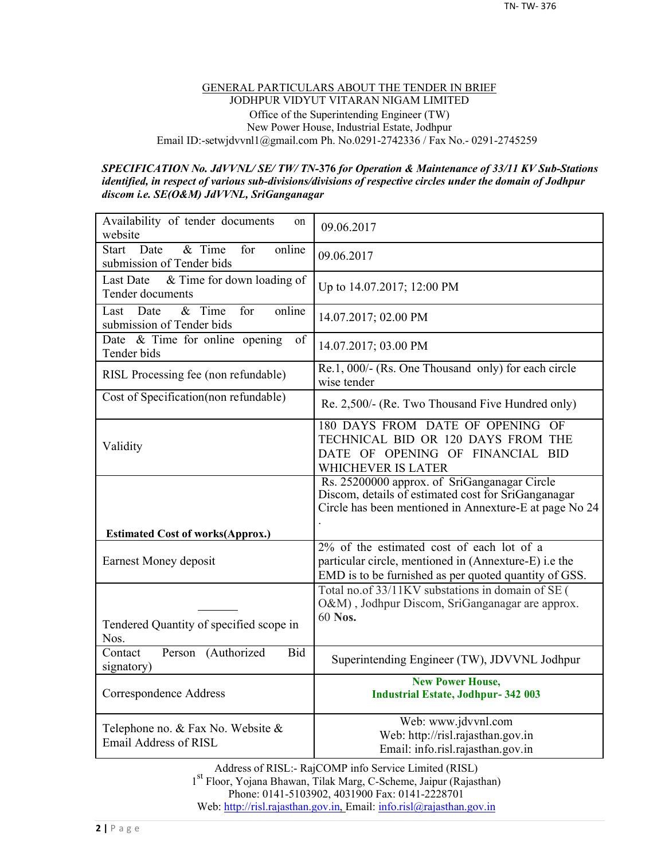#### GENERAL PARTICULARS ABOUT THE TENDER IN BRIEF JODHPUR VIDYUT VITARAN NIGAM LIMITED Office of the Superintending Engineer (TW) New Power House, Industrial Estate, Jodhpur Email ID:-setwjdvvnl1@gmail.com Ph. No.0291-2742336 / Fax No.- 0291-2745259

#### *SPECIFICATION No. JdVVNL/ SE/ TW/ TN-***376** *for Operation & Maintenance of 33/11 KV Sub-Stations identified, in respect of various sub-divisions/divisions of respective circles under the domain of Jodhpur discom i.e. SE(O&M) JdVVNL, SriGanganagar*

| Availability of tender documents<br>on<br>website                            | 09.06.2017                                                                                                                                                    |
|------------------------------------------------------------------------------|---------------------------------------------------------------------------------------------------------------------------------------------------------------|
| Date<br>& Time<br>for<br>online<br><b>Start</b><br>submission of Tender bids | 09.06.2017                                                                                                                                                    |
| & Time for down loading of<br><b>Last Date</b><br>Tender documents           | Up to 14.07.2017; 12:00 PM                                                                                                                                    |
| $&$ Time<br>for<br>online<br>Last<br>Date<br>submission of Tender bids       | 14.07.2017; 02.00 PM                                                                                                                                          |
| Date $\&$ Time for online opening<br>of<br>Tender bids                       | 14.07.2017; 03.00 PM                                                                                                                                          |
| RISL Processing fee (non refundable)                                         | Re.1, 000/- (Rs. One Thousand only) for each circle<br>wise tender                                                                                            |
| Cost of Specification(non refundable)                                        | Re. 2,500/- (Re. Two Thousand Five Hundred only)                                                                                                              |
| Validity                                                                     | 180 DAYS FROM DATE OF OPENING OF<br>TECHNICAL BID OR 120 DAYS FROM THE<br>DATE OF OPENING OF FINANCIAL BID<br>WHICHEVER IS LATER                              |
|                                                                              | Rs. 25200000 approx. of SriGanganagar Circle<br>Discom, details of estimated cost for SriGanganagar<br>Circle has been mentioned in Annexture-E at page No 24 |
| <b>Estimated Cost of works(Approx.)</b>                                      |                                                                                                                                                               |
| Earnest Money deposit                                                        | 2% of the estimated cost of each lot of a<br>particular circle, mentioned in (Annexture-E) i.e the<br>EMD is to be furnished as per quoted quantity of GSS.   |
| Tendered Quantity of specified scope in<br>Nos.                              | Total no.of 33/11KV substations in domain of SE (<br>O&M), Jodhpur Discom, SriGanganagar are approx.<br>60 Nos.                                               |
| Person (Authorized<br>Contact<br>Bid<br>signatory)                           | Superintending Engineer (TW), JDVVNL Jodhpur                                                                                                                  |
| Correspondence Address                                                       | <b>New Power House,</b><br><b>Industrial Estate, Jodhpur- 342 003</b>                                                                                         |
| Telephone no. & Fax No. Website &<br>Email Address of RISL                   | Web: www.jdvvnl.com<br>Web: http://risl.rajasthan.gov.in<br>Email: info.risl.rajasthan.gov.in                                                                 |

Address of RISL:- RajCOMP info Service Limited (RISL) 1 st Floor, Yojana Bhawan, Tilak Marg, C-Scheme, Jaipur (Rajasthan) Phone: 0141-5103902, 4031900 Fax: 0141-2228701 Web: http://risl.rajasthan.gov.in, Email: info.risl@rajasthan.gov.in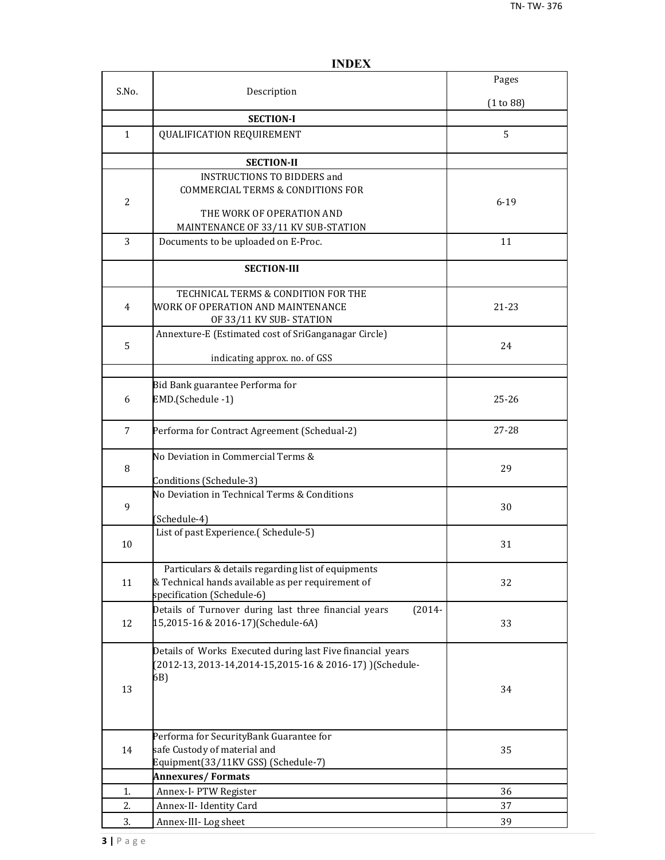|                |                                                                                                                                       | Pages     |
|----------------|---------------------------------------------------------------------------------------------------------------------------------------|-----------|
| S.No.          | Description                                                                                                                           | (1 to 88) |
|                | <b>SECTION-I</b>                                                                                                                      |           |
| $\mathbf{1}$   | <b>QUALIFICATION REQUIREMENT</b>                                                                                                      | 5         |
|                | <b>SECTION-II</b>                                                                                                                     |           |
| $\overline{2}$ | <b>INSTRUCTIONS TO BIDDERS and</b><br><b>COMMERCIAL TERMS &amp; CONDITIONS FOR</b><br>THE WORK OF OPERATION AND                       | $6 - 19$  |
|                | MAINTENANCE OF 33/11 KV SUB-STATION                                                                                                   |           |
| 3              | Documents to be uploaded on E-Proc.                                                                                                   | 11        |
|                | <b>SECTION-III</b>                                                                                                                    |           |
| 4              | TECHNICAL TERMS & CONDITION FOR THE<br>WORK OF OPERATION AND MAINTENANCE<br>OF 33/11 KV SUB-STATION                                   | 21-23     |
| 5              | Annexture-E (Estimated cost of SriGanganagar Circle)<br>indicating approx. no. of GSS                                                 | 24        |
|                |                                                                                                                                       |           |
| 6              | Bid Bank guarantee Performa for<br>EMD.(Schedule -1)                                                                                  | $25 - 26$ |
| 7              | Performa for Contract Agreement (Schedual-2)                                                                                          | 27-28     |
| 8              | No Deviation in Commercial Terms &<br>Conditions (Schedule-3)                                                                         | 29        |
| 9              | No Deviation in Technical Terms & Conditions<br>(Schedule-4)                                                                          | 30        |
| 10             | List of past Experience.(Schedule-5)                                                                                                  | 31        |
| 11             | Particulars & details regarding list of equipments<br>& Technical hands available as per requirement of<br>specification (Schedule-6) | 32        |
| 12             | Details of Turnover during last three financial years<br>$(2014 -$<br>15,2015-16 & 2016-17)(Schedule-6A)                              | 33        |
| 13             | Details of Works Executed during last Five financial years<br>(2012-13, 2013-14, 2014-15, 2015-16 & 2016-17) ) (Schedule-<br>6B)      | 34        |
| 14             | Performa for SecurityBank Guarantee for<br>safe Custody of material and<br>Equipment(33/11KV GSS) (Schedule-7)                        | 35        |
|                | <b>Annexures/Formats</b>                                                                                                              |           |
| 1.             | Annex-I- PTW Register                                                                                                                 | 36        |
| 2.             | Annex-II- Identity Card                                                                                                               | 37        |
| 3.             | Annex-III-Log sheet                                                                                                                   | 39        |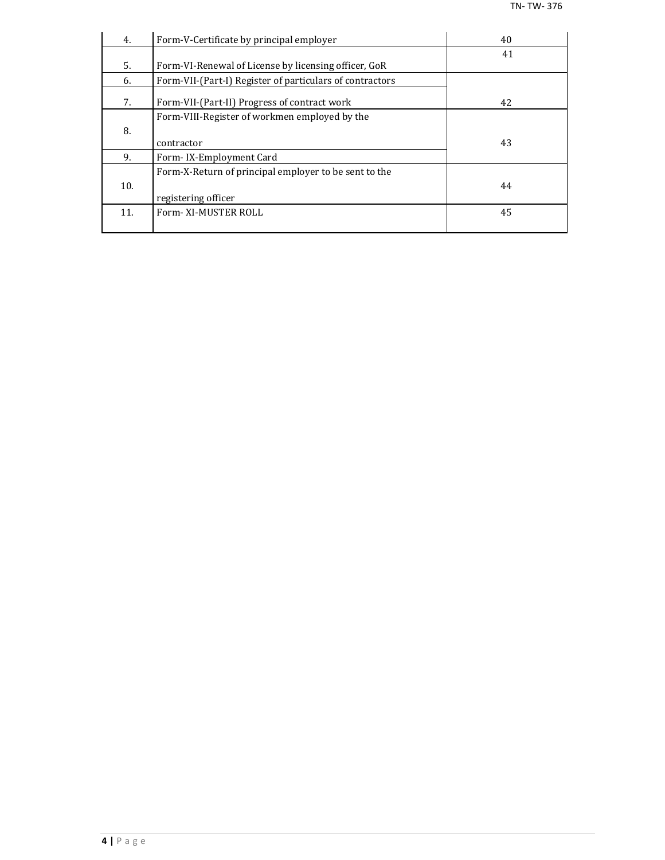| 4.  | Form-V-Certificate by principal employer                 | 40 |
|-----|----------------------------------------------------------|----|
|     |                                                          | 41 |
| 5.  | Form-VI-Renewal of License by licensing officer, GoR     |    |
| 6.  | Form-VII-(Part-I) Register of particulars of contractors |    |
| 7.  | Form-VII-(Part-II) Progress of contract work             | 42 |
|     | Form-VIII-Register of workmen employed by the            |    |
| 8.  |                                                          |    |
|     | contractor                                               | 43 |
| 9.  | Form-IX-Employment Card                                  |    |
|     | Form-X-Return of principal employer to be sent to the    |    |
| 10. |                                                          | 44 |
|     | registering officer                                      |    |
| 11. | Form-XI-MUSTER ROLL                                      | 45 |
|     |                                                          |    |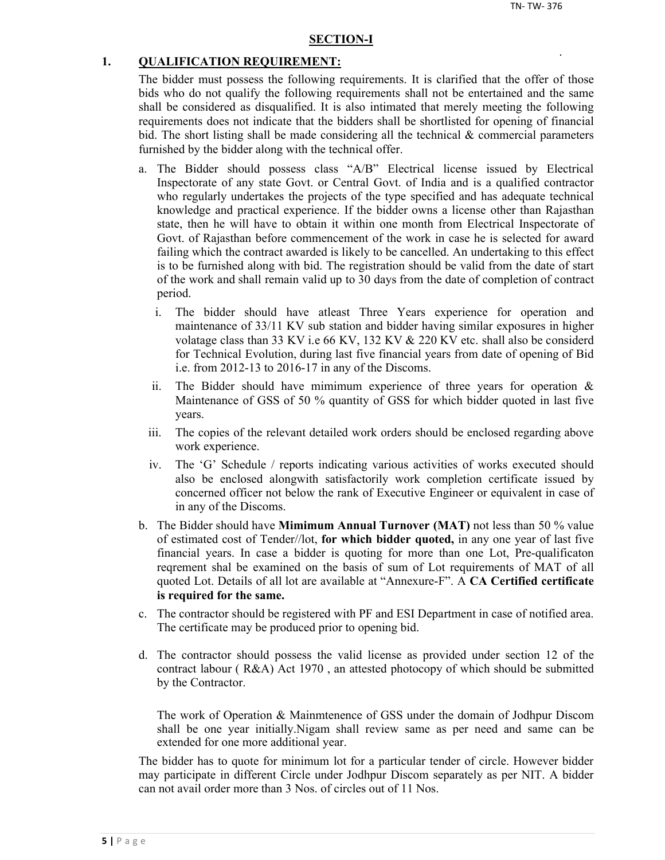#### **SECTION-I**

#### **1. QUALIFICATION REQUIREMENT:**

The bidder must possess the following requirements. It is clarified that the offer of those bids who do not qualify the following requirements shall not be entertained and the same shall be considered as disqualified. It is also intimated that merely meeting the following requirements does not indicate that the bidders shall be shortlisted for opening of financial bid. The short listing shall be made considering all the technical  $\&$  commercial parameters furnished by the bidder along with the technical offer.

- a. The Bidder should possess class "A/B" Electrical license issued by Electrical Inspectorate of any state Govt. or Central Govt. of India and is a qualified contractor who regularly undertakes the projects of the type specified and has adequate technical knowledge and practical experience. If the bidder owns a license other than Rajasthan state, then he will have to obtain it within one month from Electrical Inspectorate of Govt. of Rajasthan before commencement of the work in case he is selected for award failing which the contract awarded is likely to be cancelled. An undertaking to this effect is to be furnished along with bid. The registration should be valid from the date of start of the work and shall remain valid up to 30 days from the date of completion of contract period.
	- i. The bidder should have atleast Three Years experience for operation and maintenance of 33/11 KV sub station and bidder having similar exposures in higher volatage class than 33 KV i.e 66 KV, 132 KV & 220 KV etc. shall also be considerd for Technical Evolution, during last five financial years from date of opening of Bid i.e. from 2012-13 to 2016-17 in any of the Discoms.
	- ii. The Bidder should have mimimum experience of three years for operation  $\&$ Maintenance of GSS of 50 % quantity of GSS for which bidder quoted in last five years.
	- iii. The copies of the relevant detailed work orders should be enclosed regarding above work experience.
	- iv. The 'G' Schedule / reports indicating various activities of works executed should also be enclosed alongwith satisfactorily work completion certificate issued by concerned officer not below the rank of Executive Engineer or equivalent in case of in any of the Discoms.
- b. The Bidder should have **Mimimum Annual Turnover (MAT)** not less than 50 % value of estimated cost of Tender//lot, **for which bidder quoted,** in any one year of last five financial years. In case a bidder is quoting for more than one Lot, Pre-qualificaton reqrement shal be examined on the basis of sum of Lot requirements of MAT of all quoted Lot. Details of all lot are available at "Annexure-F". A **CA Certified certificate is required for the same.**
- c. The contractor should be registered with PF and ESI Department in case of notified area. The certificate may be produced prior to opening bid.
- d. The contractor should possess the valid license as provided under section 12 of the contract labour ( R&A) Act 1970 , an attested photocopy of which should be submitted by the Contractor.

The work of Operation & Mainmtenence of GSS under the domain of Jodhpur Discom shall be one year initially.Nigam shall review same as per need and same can be extended for one more additional year.

The bidder has to quote for minimum lot for a particular tender of circle. However bidder may participate in different Circle under Jodhpur Discom separately as per NIT. A bidder can not avail order more than 3 Nos. of circles out of 11 Nos.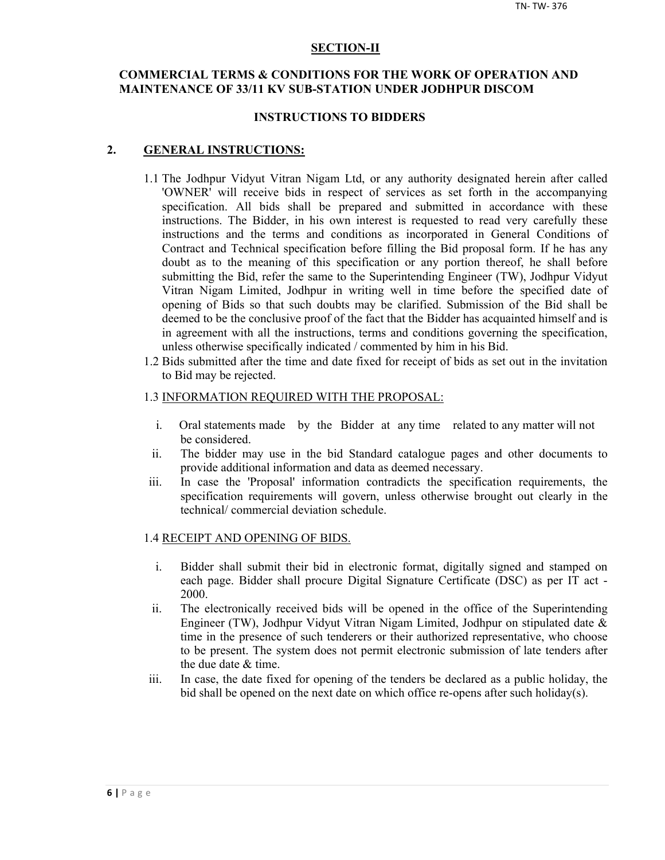#### **SECTION-II**

## **COMMERCIAL TERMS & CONDITIONS FOR THE WORK OF OPERATION AND MAINTENANCE OF 33/11 KV SUB-STATION UNDER JODHPUR DISCOM**

#### **INSTRUCTIONS TO BIDDERS**

#### **2. GENERAL INSTRUCTIONS:**

- 1.1 The Jodhpur Vidyut Vitran Nigam Ltd, or any authority designated herein after called 'OWNER' will receive bids in respect of services as set forth in the accompanying specification. All bids shall be prepared and submitted in accordance with these instructions. The Bidder, in his own interest is requested to read very carefully these instructions and the terms and conditions as incorporated in General Conditions of Contract and Technical specification before filling the Bid proposal form. If he has any doubt as to the meaning of this specification or any portion thereof, he shall before submitting the Bid, refer the same to the Superintending Engineer (TW), Jodhpur Vidyut Vitran Nigam Limited, Jodhpur in writing well in time before the specified date of opening of Bids so that such doubts may be clarified. Submission of the Bid shall be deemed to be the conclusive proof of the fact that the Bidder has acquainted himself and is in agreement with all the instructions, terms and conditions governing the specification, unless otherwise specifically indicated / commented by him in his Bid.
- 1.2 Bids submitted after the time and date fixed for receipt of bids as set out in the invitation to Bid may be rejected.

#### 1.3 INFORMATION REQUIRED WITH THE PROPOSAL:

- i. Oral statements made by the Bidder at any time related to any matter will not be considered.
- ii. The bidder may use in the bid Standard catalogue pages and other documents to provide additional information and data as deemed necessary.
- iii. In case the 'Proposal' information contradicts the specification requirements, the specification requirements will govern, unless otherwise brought out clearly in the technical/ commercial deviation schedule.

#### 1.4 RECEIPT AND OPENING OF BIDS.

- i. Bidder shall submit their bid in electronic format, digitally signed and stamped on each page. Bidder shall procure Digital Signature Certificate (DSC) as per IT act - 2000.
- ii. The electronically received bids will be opened in the office of the Superintending Engineer (TW), Jodhpur Vidyut Vitran Nigam Limited, Jodhpur on stipulated date & time in the presence of such tenderers or their authorized representative, who choose to be present. The system does not permit electronic submission of late tenders after the due date & time.
- iii. In case, the date fixed for opening of the tenders be declared as a public holiday, the bid shall be opened on the next date on which office re-opens after such holiday(s).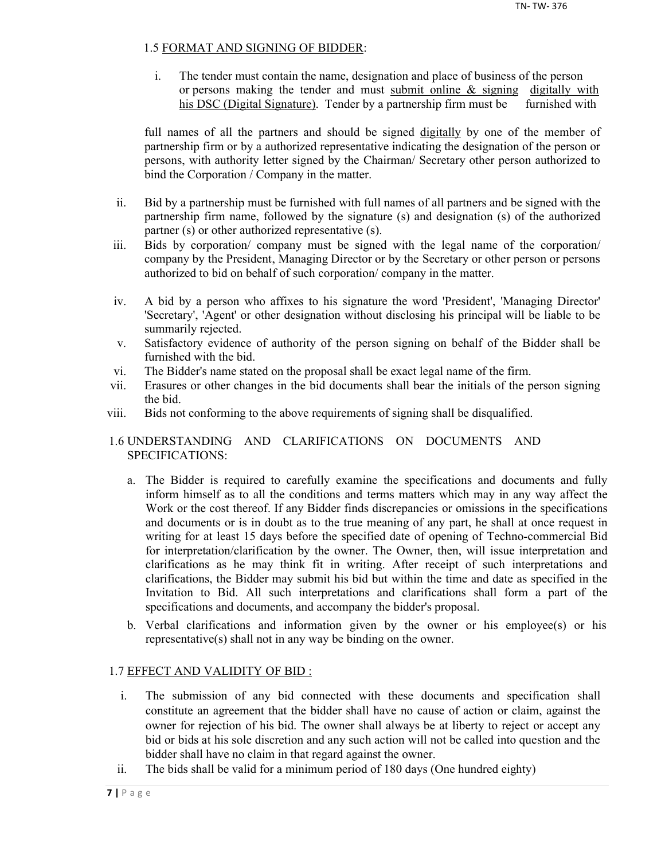## 1.5 FORMAT AND SIGNING OF BIDDER:

i. The tender must contain the name, designation and place of business of the person or persons making the tender and must submit online  $\&$  signing digitally with his DSC (Digital Signature). Tender by a partnership firm must be furnished with

full names of all the partners and should be signed digitally by one of the member of partnership firm or by a authorized representative indicating the designation of the person or persons, with authority letter signed by the Chairman/ Secretary other person authorized to bind the Corporation / Company in the matter.

- ii. Bid by a partnership must be furnished with full names of all partners and be signed with the partnership firm name, followed by the signature (s) and designation (s) of the authorized partner (s) or other authorized representative (s).
- iii. Bids by corporation/ company must be signed with the legal name of the corporation/ company by the President, Managing Director or by the Secretary or other person or persons authorized to bid on behalf of such corporation/ company in the matter.
- iv. A bid by a person who affixes to his signature the word 'President', 'Managing Director' 'Secretary', 'Agent' or other designation without disclosing his principal will be liable to be summarily rejected.
- v. Satisfactory evidence of authority of the person signing on behalf of the Bidder shall be furnished with the bid.
- vi. The Bidder's name stated on the proposal shall be exact legal name of the firm.
- vii. Erasures or other changes in the bid documents shall bear the initials of the person signing the bid.
- viii. Bids not conforming to the above requirements of signing shall be disqualified.

## 1.6 UNDERSTANDING AND CLARIFICATIONS ON DOCUMENTS AND SPECIFICATIONS:

- a. The Bidder is required to carefully examine the specifications and documents and fully inform himself as to all the conditions and terms matters which may in any way affect the Work or the cost thereof. If any Bidder finds discrepancies or omissions in the specifications and documents or is in doubt as to the true meaning of any part, he shall at once request in writing for at least 15 days before the specified date of opening of Techno-commercial Bid for interpretation/clarification by the owner. The Owner, then, will issue interpretation and clarifications as he may think fit in writing. After receipt of such interpretations and clarifications, the Bidder may submit his bid but within the time and date as specified in the Invitation to Bid. All such interpretations and clarifications shall form a part of the specifications and documents, and accompany the bidder's proposal.
- b. Verbal clarifications and information given by the owner or his employee(s) or his representative(s) shall not in any way be binding on the owner.

## 1.7 EFFECT AND VALIDITY OF BID :

- i. The submission of any bid connected with these documents and specification shall constitute an agreement that the bidder shall have no cause of action or claim, against the owner for rejection of his bid. The owner shall always be at liberty to reject or accept any bid or bids at his sole discretion and any such action will not be called into question and the bidder shall have no claim in that regard against the owner.
- ii. The bids shall be valid for a minimum period of 180 days (One hundred eighty)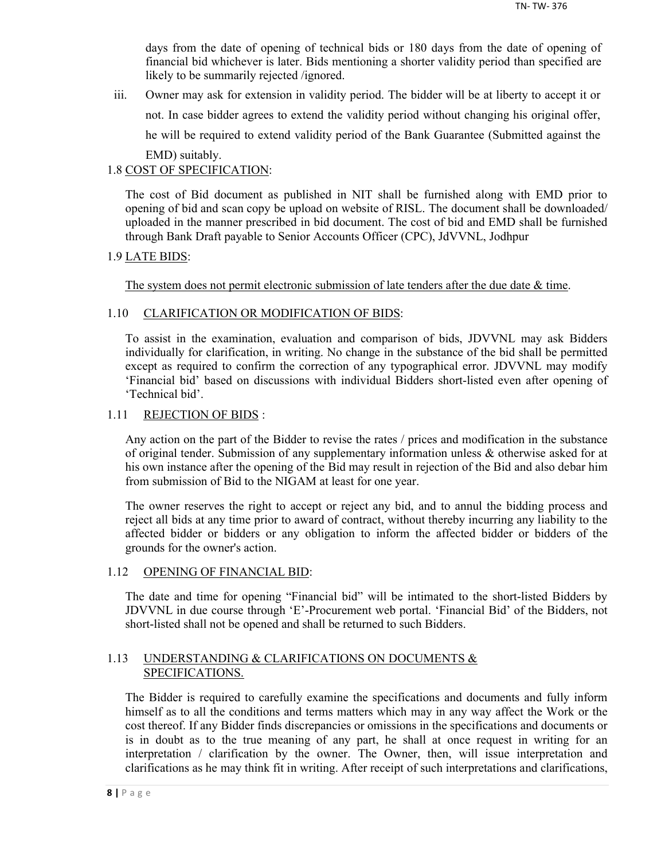days from the date of opening of technical bids or 180 days from the date of opening of financial bid whichever is later. Bids mentioning a shorter validity period than specified are likely to be summarily rejected /ignored.

iii. Owner may ask for extension in validity period. The bidder will be at liberty to accept it or not. In case bidder agrees to extend the validity period without changing his original offer, he will be required to extend validity period of the Bank Guarantee (Submitted against the EMD) suitably.

## 1.8 COST OF SPECIFICATION:

The cost of Bid document as published in NIT shall be furnished along with EMD prior to opening of bid and scan copy be upload on website of RISL. The document shall be downloaded/ uploaded in the manner prescribed in bid document. The cost of bid and EMD shall be furnished through Bank Draft payable to Senior Accounts Officer (CPC), JdVVNL, Jodhpur

## 1.9 LATE BIDS:

The system does not permit electronic submission of late tenders after the due date  $\&$  time.

## 1.10 CLARIFICATION OR MODIFICATION OF BIDS:

To assist in the examination, evaluation and comparison of bids, JDVVNL may ask Bidders individually for clarification, in writing. No change in the substance of the bid shall be permitted except as required to confirm the correction of any typographical error. JDVVNL may modify 'Financial bid' based on discussions with individual Bidders short-listed even after opening of 'Technical bid'.

## 1.11 REJECTION OF BIDS :

Any action on the part of the Bidder to revise the rates / prices and modification in the substance of original tender. Submission of any supplementary information unless & otherwise asked for at his own instance after the opening of the Bid may result in rejection of the Bid and also debar him from submission of Bid to the NIGAM at least for one year.

The owner reserves the right to accept or reject any bid, and to annul the bidding process and reject all bids at any time prior to award of contract, without thereby incurring any liability to the affected bidder or bidders or any obligation to inform the affected bidder or bidders of the grounds for the owner's action.

## 1.12 OPENING OF FINANCIAL BID:

The date and time for opening "Financial bid" will be intimated to the short-listed Bidders by JDVVNL in due course through 'E'-Procurement web portal. 'Financial Bid' of the Bidders, not short-listed shall not be opened and shall be returned to such Bidders.

## 1.13 UNDERSTANDING & CLARIFICATIONS ON DOCUMENTS & SPECIFICATIONS.

The Bidder is required to carefully examine the specifications and documents and fully inform himself as to all the conditions and terms matters which may in any way affect the Work or the cost thereof. If any Bidder finds discrepancies or omissions in the specifications and documents or is in doubt as to the true meaning of any part, he shall at once request in writing for an interpretation / clarification by the owner. The Owner, then, will issue interpretation and clarifications as he may think fit in writing. After receipt of such interpretations and clarifications,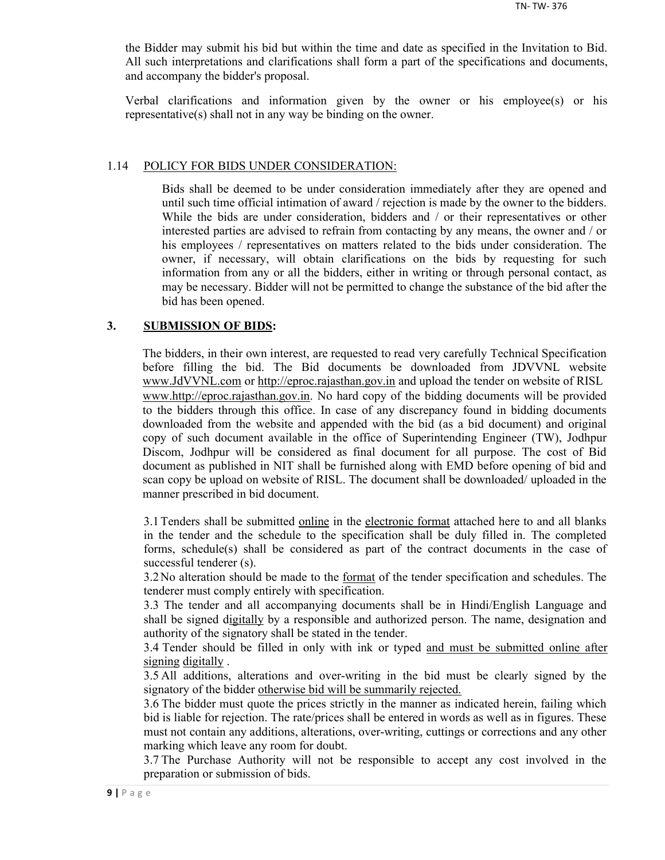the Bidder may submit his bid but within the time and date as specified in the Invitation to Bid. All such interpretations and clarifications shall form a part of the specifications and documents, and accompany the bidder's proposal.

Verbal clarifications and information given by the owner or his employee(s) or his representative(s) shall not in any way be binding on the owner.

#### 1.14 POLICY FOR BIDS UNDER CONSIDERATION:

Bids shall be deemed to be under consideration immediately after they are opened and until such time official intimation of award / rejection is made by the owner to the bidders. While the bids are under consideration, bidders and / or their representatives or other interested parties are advised to refrain from contacting by any means, the owner and / or his employees / representatives on matters related to the bids under consideration. The owner, if necessary, will obtain clarifications on the bids by requesting for such information from any or all the bidders, either in writing or through personal contact, as may be necessary. Bidder will not be permitted to change the substance of the bid after the bid has been opened.

#### **3. SUBMISSION OF BIDS:**

The bidders, in their own interest, are requested to read very carefully Technical Specification before filling the bid. The Bid documents be downloaded from JDVVNL website www.JdVVNL.com or http://eproc.rajasthan.gov.in and upload the tender on website of RISL www.http://eproc.rajasthan.gov.in. No hard copy of the bidding documents will be provided to the bidders through this office. In case of any discrepancy found in bidding documents downloaded from the website and appended with the bid (as a bid document) and original copy of such document available in the office of Superintending Engineer (TW), Jodhpur Discom, Jodhpur will be considered as final document for all purpose. The cost of Bid document as published in NIT shall be furnished along with EMD before opening of bid and scan copy be upload on website of RISL. The document shall be downloaded/ uploaded in the manner prescribed in bid document.

3.1 Tenders shall be submitted online in the electronic format attached here to and all blanks in the tender and the schedule to the specification shall be duly filled in. The completed forms, schedule(s) shall be considered as part of the contract documents in the case of successful tenderer (s).

3.2 No alteration should be made to the <u>format</u> of the tender specification and schedules. The tenderer must comply entirely with specification.

3.3 The tender and all accompanying documents shall be in Hindi/English Language and shall be signed digitally by a responsible and authorized person. The name, designation and authority of the signatory shall be stated in the tender.

3.4 Tender should be filled in only with ink or typed and must be submitted online after signing digitally .

3.5 All additions, alterations and over-writing in the bid must be clearly signed by the signatory of the bidder otherwise bid will be summarily rejected.

3.6 The bidder must quote the prices strictly in the manner as indicated herein, failing which bid is liable for rejection. The rate/prices shall be entered in words as well as in figures. These must not contain any additions, alterations, over-writing, cuttings or corrections and any other marking which leave any room for doubt.

3.7 The Purchase Authority will not be responsible to accept any cost involved in the preparation or submission of bids.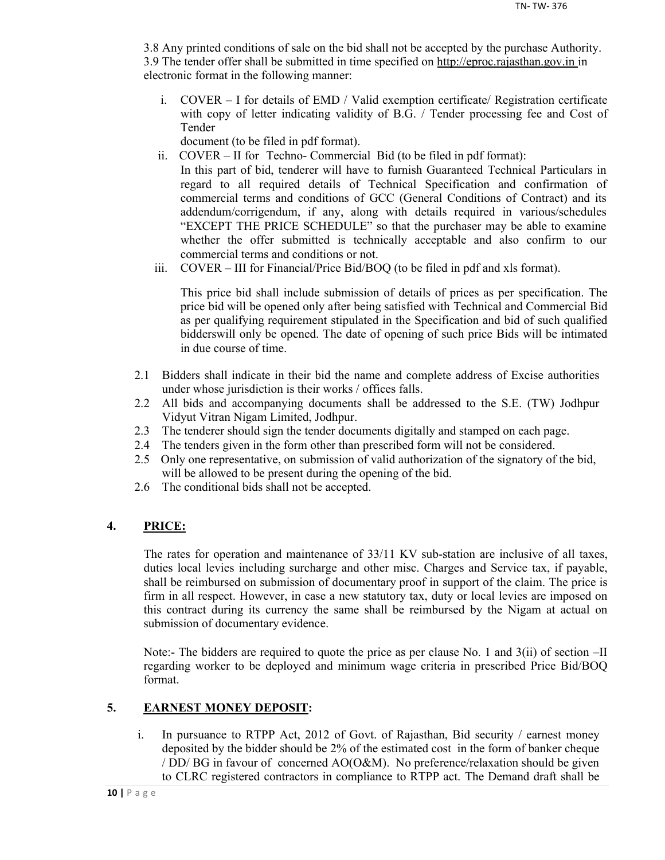3.8 Any printed conditions of sale on the bid shall not be accepted by the purchase Authority. 3.9 The tender offer shall be submitted in time specified on http://eproc.rajasthan.gov.in in electronic format in the following manner:

i. COVER – I for details of EMD / Valid exemption certificate/ Registration certificate with copy of letter indicating validity of B.G. / Tender processing fee and Cost of Tender

document (to be filed in pdf format).

- ii. COVER II for Techno- Commercial Bid (to be filed in pdf format): In this part of bid, tenderer will have to furnish Guaranteed Technical Particulars in regard to all required details of Technical Specification and confirmation of commercial terms and conditions of GCC (General Conditions of Contract) and its addendum/corrigendum, if any, along with details required in various/schedules "EXCEPT THE PRICE SCHEDULE" so that the purchaser may be able to examine whether the offer submitted is technically acceptable and also confirm to our commercial terms and conditions or not.
- iii. COVER III for Financial/Price Bid/BOQ (to be filed in pdf and xls format).

This price bid shall include submission of details of prices as per specification. The price bid will be opened only after being satisfied with Technical and Commercial Bid as per qualifying requirement stipulated in the Specification and bid of such qualified bidderswill only be opened. The date of opening of such price Bids will be intimated in due course of time.

- 2.1 Bidders shall indicate in their bid the name and complete address of Excise authorities under whose jurisdiction is their works / offices falls.
- 2.2 All bids and accompanying documents shall be addressed to the S.E. (TW) Jodhpur Vidyut Vitran Nigam Limited, Jodhpur.
- 2.3 The tenderer should sign the tender documents digitally and stamped on each page.
- 2.4 The tenders given in the form other than prescribed form will not be considered.
- 2.5 Only one representative, on submission of valid authorization of the signatory of the bid, will be allowed to be present during the opening of the bid.
- 2.6 The conditional bids shall not be accepted.

## **4. PRICE:**

The rates for operation and maintenance of 33/11 KV sub-station are inclusive of all taxes, duties local levies including surcharge and other misc. Charges and Service tax, if payable, shall be reimbursed on submission of documentary proof in support of the claim. The price is firm in all respect. However, in case a new statutory tax, duty or local levies are imposed on this contract during its currency the same shall be reimbursed by the Nigam at actual on submission of documentary evidence.

Note:- The bidders are required to quote the price as per clause No. 1 and 3(ii) of section –II regarding worker to be deployed and minimum wage criteria in prescribed Price Bid/BOQ format.

## **5. EARNEST MONEY DEPOSIT:**

i. In pursuance to RTPP Act, 2012 of Govt. of Rajasthan, Bid security / earnest money deposited by the bidder should be 2% of the estimated cost in the form of banker cheque / DD/ BG in favour of concerned AO(O&M). No preference/relaxation should be given to CLRC registered contractors in compliance to RTPP act. The Demand draft shall be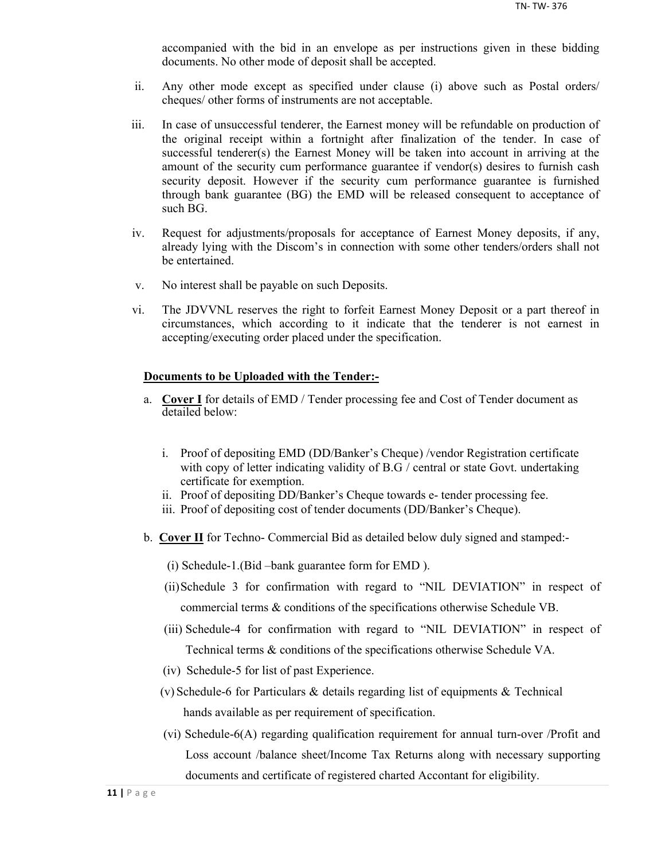accompanied with the bid in an envelope as per instructions given in these bidding documents. No other mode of deposit shall be accepted.

- ii. Any other mode except as specified under clause (i) above such as Postal orders/ cheques/ other forms of instruments are not acceptable.
- iii. In case of unsuccessful tenderer, the Earnest money will be refundable on production of the original receipt within a fortnight after finalization of the tender. In case of successful tenderer(s) the Earnest Money will be taken into account in arriving at the amount of the security cum performance guarantee if vendor(s) desires to furnish cash security deposit. However if the security cum performance guarantee is furnished through bank guarantee (BG) the EMD will be released consequent to acceptance of such BG.
- iv. Request for adjustments/proposals for acceptance of Earnest Money deposits, if any, already lying with the Discom's in connection with some other tenders/orders shall not be entertained.
- v. No interest shall be payable on such Deposits.
- vi. The JDVVNL reserves the right to forfeit Earnest Money Deposit or a part thereof in circumstances, which according to it indicate that the tenderer is not earnest in accepting/executing order placed under the specification.

#### **Documents to be Uploaded with the Tender:-**

- a. **Cover I** for details of EMD / Tender processing fee and Cost of Tender document as detailed below:
	- i. Proof of depositing EMD (DD/Banker's Cheque) /vendor Registration certificate with copy of letter indicating validity of B.G / central or state Govt. undertaking certificate for exemption.
	- ii. Proof of depositing DD/Banker's Cheque towards e- tender processing fee.
	- iii. Proof of depositing cost of tender documents (DD/Banker's Cheque).
- b. **Cover II** for Techno- Commercial Bid as detailed below duly signed and stamped:-
	- (i) Schedule-1.(Bid –bank guarantee form for EMD ).
	- (ii)Schedule 3 for confirmation with regard to "NIL DEVIATION" in respect of commercial terms & conditions of the specifications otherwise Schedule VB.
	- (iii) Schedule-4 for confirmation with regard to "NIL DEVIATION" in respect of Technical terms & conditions of the specifications otherwise Schedule VA.
	- (iv) Schedule-5 for list of past Experience.
	- (v) Schedule-6 for Particulars & details regarding list of equipments & Technical hands available as per requirement of specification.
	- (vi) Schedule-6(A) regarding qualification requirement for annual turn-over /Profit and Loss account /balance sheet/Income Tax Returns along with necessary supporting documents and certificate of registered charted Accontant for eligibility.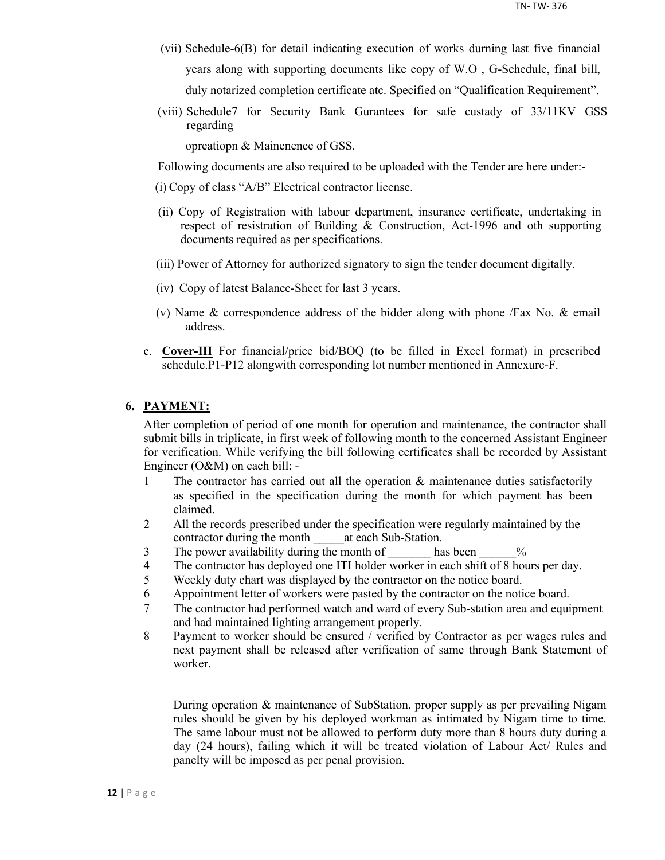- (vii) Schedule-6(B) for detail indicating execution of works durning last five financial years along with supporting documents like copy of W.O , G-Schedule, final bill, duly notarized completion certificate atc. Specified on "Qualification Requirement".
- (viii) Schedule7 for Security Bank Gurantees for safe custady of 33/11KV GSS regarding

opreatiopn & Mainenence of GSS.

Following documents are also required to be uploaded with the Tender are here under:-

- (i) Copy of class "A/B" Electrical contractor license.
- (ii) Copy of Registration with labour department, insurance certificate, undertaking in respect of resistration of Building & Construction, Act-1996 and oth supporting documents required as per specifications.
- (iii) Power of Attorney for authorized signatory to sign the tender document digitally.
- (iv) Copy of latest Balance-Sheet for last 3 years.
- (v) Name & correspondence address of the bidder along with phone /Fax No. & email address.
- c. **Cover-III** For financial/price bid/BOQ (to be filled in Excel format) in prescribed schedule.P1-P12 alongwith corresponding lot number mentioned in Annexure-F.

## **6. PAYMENT:**

After completion of period of one month for operation and maintenance, the contractor shall submit bills in triplicate, in first week of following month to the concerned Assistant Engineer for verification. While verifying the bill following certificates shall be recorded by Assistant Engineer (O&M) on each bill: -

- 1 The contractor has carried out all the operation & maintenance duties satisfactorily as specified in the specification during the month for which payment has been claimed.
- 2 All the records prescribed under the specification were regularly maintained by the contractor during the month at each Sub-Station.
- 3 The power availability during the month of has been  $\%$
- 4 The contractor has deployed one ITI holder worker in each shift of 8 hours per day.
- 5 Weekly duty chart was displayed by the contractor on the notice board.
- 6 Appointment letter of workers were pasted by the contractor on the notice board.
- 7 The contractor had performed watch and ward of every Sub-station area and equipment and had maintained lighting arrangement properly.
- 8 Payment to worker should be ensured / verified by Contractor as per wages rules and next payment shall be released after verification of same through Bank Statement of worker.

During operation & maintenance of SubStation, proper supply as per prevailing Nigam rules should be given by his deployed workman as intimated by Nigam time to time. The same labour must not be allowed to perform duty more than 8 hours duty during a day (24 hours), failing which it will be treated violation of Labour Act/ Rules and panelty will be imposed as per penal provision.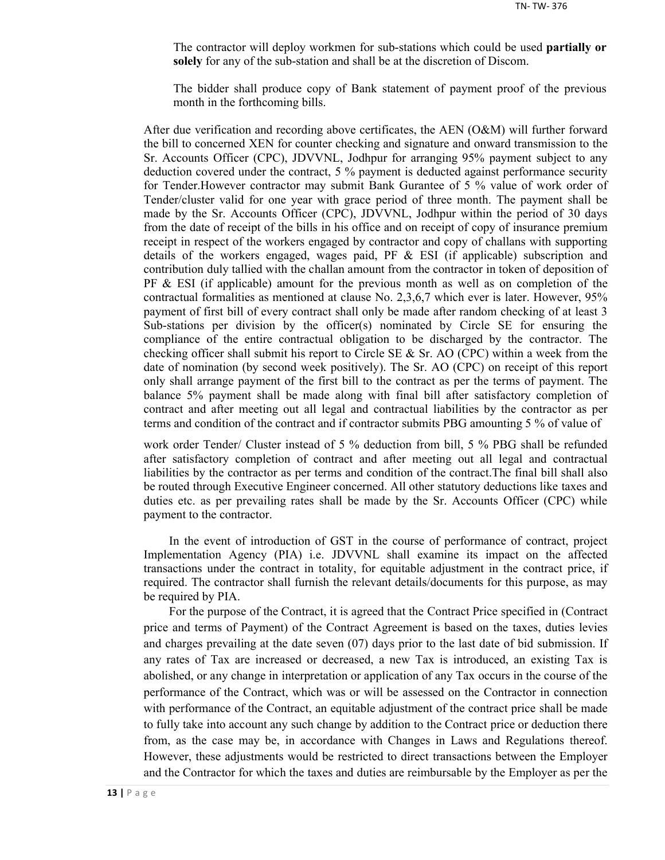The contractor will deploy workmen for sub-stations which could be used **partially or solely** for any of the sub-station and shall be at the discretion of Discom.

The bidder shall produce copy of Bank statement of payment proof of the previous month in the forthcoming bills.

After due verification and recording above certificates, the AEN (O&M) will further forward the bill to concerned XEN for counter checking and signature and onward transmission to the Sr. Accounts Officer (CPC), JDVVNL, Jodhpur for arranging 95% payment subject to any deduction covered under the contract, 5 % payment is deducted against performance security for Tender.However contractor may submit Bank Gurantee of 5 % value of work order of Tender/cluster valid for one year with grace period of three month. The payment shall be made by the Sr. Accounts Officer (CPC), JDVVNL, Jodhpur within the period of 30 days from the date of receipt of the bills in his office and on receipt of copy of insurance premium receipt in respect of the workers engaged by contractor and copy of challans with supporting details of the workers engaged, wages paid, PF  $\&$  ESI (if applicable) subscription and contribution duly tallied with the challan amount from the contractor in token of deposition of  $PF \& ESI$  (if applicable) amount for the previous month as well as on completion of the contractual formalities as mentioned at clause No. 2,3,6,7 which ever is later. However, 95% payment of first bill of every contract shall only be made after random checking of at least 3 Sub-stations per division by the officer(s) nominated by Circle SE for ensuring the compliance of the entire contractual obligation to be discharged by the contractor. The checking officer shall submit his report to Circle SE  $\&$  Sr. AO (CPC) within a week from the date of nomination (by second week positively). The Sr. AO (CPC) on receipt of this report only shall arrange payment of the first bill to the contract as per the terms of payment. The balance 5% payment shall be made along with final bill after satisfactory completion of contract and after meeting out all legal and contractual liabilities by the contractor as per terms and condition of the contract and if contractor submits PBG amounting 5 % of value of

work order Tender/ Cluster instead of 5 % deduction from bill, 5 % PBG shall be refunded after satisfactory completion of contract and after meeting out all legal and contractual liabilities by the contractor as per terms and condition of the contract.The final bill shall also be routed through Executive Engineer concerned. All other statutory deductions like taxes and duties etc. as per prevailing rates shall be made by the Sr. Accounts Officer (CPC) while payment to the contractor.

In the event of introduction of GST in the course of performance of contract, project Implementation Agency (PIA) i.e. JDVVNL shall examine its impact on the affected transactions under the contract in totality, for equitable adjustment in the contract price, if required. The contractor shall furnish the relevant details/documents for this purpose, as may be required by PIA.

For the purpose of the Contract, it is agreed that the Contract Price specified in (Contract price and terms of Payment) of the Contract Agreement is based on the taxes, duties levies and charges prevailing at the date seven (07) days prior to the last date of bid submission. If any rates of Tax are increased or decreased, a new Tax is introduced, an existing Tax is abolished, or any change in interpretation or application of any Tax occurs in the course of the performance of the Contract, which was or will be assessed on the Contractor in connection with performance of the Contract, an equitable adjustment of the contract price shall be made to fully take into account any such change by addition to the Contract price or deduction there from, as the case may be, in accordance with Changes in Laws and Regulations thereof. However, these adjustments would be restricted to direct transactions between the Employer and the Contractor for which the taxes and duties are reimbursable by the Employer as per the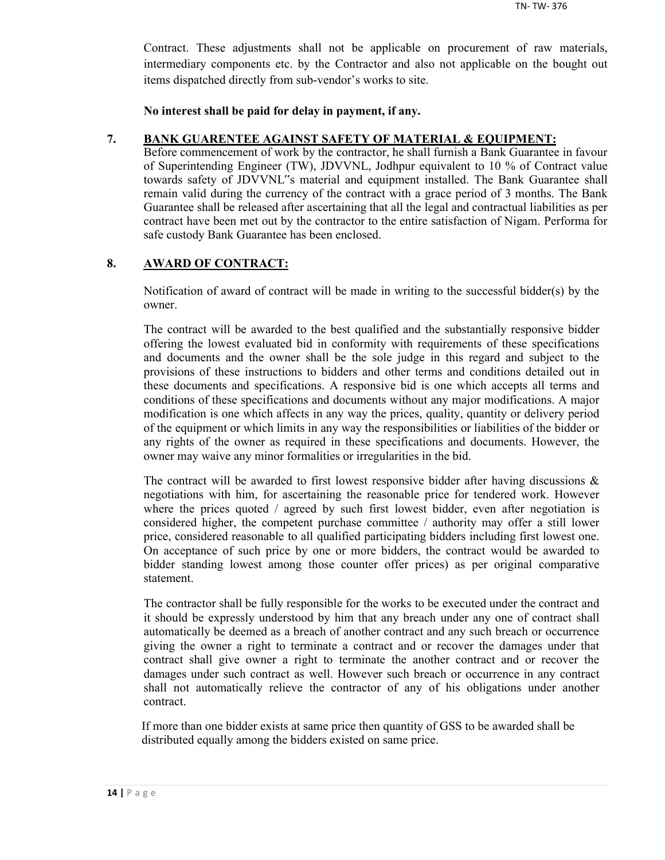Contract. These adjustments shall not be applicable on procurement of raw materials, intermediary components etc. by the Contractor and also not applicable on the bought out items dispatched directly from sub-vendor's works to site.

**No interest shall be paid for delay in payment, if any.**

#### **7. BANK GUARENTEE AGAINST SAFETY OF MATERIAL & EQUIPMENT:**

Before commencement of work by the contractor, he shall furnish a Bank Guarantee in favour of Superintending Engineer (TW), JDVVNL, Jodhpur equivalent to 10 % of Contract value towards safety of JDVVNL"s material and equipment installed. The Bank Guarantee shall remain valid during the currency of the contract with a grace period of 3 months. The Bank Guarantee shall be released after ascertaining that all the legal and contractual liabilities as per contract have been met out by the contractor to the entire satisfaction of Nigam. Performa for safe custody Bank Guarantee has been enclosed.

## **8. AWARD OF CONTRACT:**

Notification of award of contract will be made in writing to the successful bidder(s) by the owner.

The contract will be awarded to the best qualified and the substantially responsive bidder offering the lowest evaluated bid in conformity with requirements of these specifications and documents and the owner shall be the sole judge in this regard and subject to the provisions of these instructions to bidders and other terms and conditions detailed out in these documents and specifications. A responsive bid is one which accepts all terms and conditions of these specifications and documents without any major modifications. A major modification is one which affects in any way the prices, quality, quantity or delivery period of the equipment or which limits in any way the responsibilities or liabilities of the bidder or any rights of the owner as required in these specifications and documents. However, the owner may waive any minor formalities or irregularities in the bid.

The contract will be awarded to first lowest responsive bidder after having discussions  $\&$ negotiations with him, for ascertaining the reasonable price for tendered work. However where the prices quoted / agreed by such first lowest bidder, even after negotiation is considered higher, the competent purchase committee / authority may offer a still lower price, considered reasonable to all qualified participating bidders including first lowest one. On acceptance of such price by one or more bidders, the contract would be awarded to bidder standing lowest among those counter offer prices) as per original comparative statement.

The contractor shall be fully responsible for the works to be executed under the contract and it should be expressly understood by him that any breach under any one of contract shall automatically be deemed as a breach of another contract and any such breach or occurrence giving the owner a right to terminate a contract and or recover the damages under that contract shall give owner a right to terminate the another contract and or recover the damages under such contract as well. However such breach or occurrence in any contract shall not automatically relieve the contractor of any of his obligations under another contract.

If more than one bidder exists at same price then quantity of GSS to be awarded shall be distributed equally among the bidders existed on same price.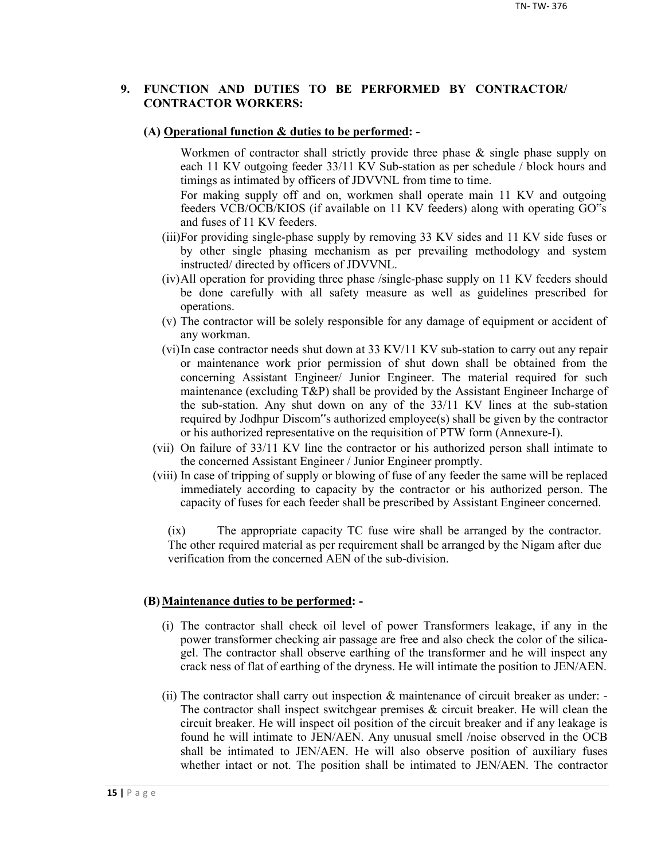## **9. FUNCTION AND DUTIES TO BE PERFORMED BY CONTRACTOR/ CONTRACTOR WORKERS:**

#### **(A) Operational function & duties to be performed: -**

Workmen of contractor shall strictly provide three phase & single phase supply on each 11 KV outgoing feeder 33/11 KV Sub-station as per schedule / block hours and timings as intimated by officers of JDVVNL from time to time.

For making supply off and on, workmen shall operate main 11 KV and outgoing feeders VCB/OCB/KIOS (if available on 11 KV feeders) along with operating GO"s and fuses of 11 KV feeders.

- (iii)For providing single-phase supply by removing 33 KV sides and 11 KV side fuses or by other single phasing mechanism as per prevailing methodology and system instructed/ directed by officers of JDVVNL.
- (iv)All operation for providing three phase /single-phase supply on 11 KV feeders should be done carefully with all safety measure as well as guidelines prescribed for operations.
- (v) The contractor will be solely responsible for any damage of equipment or accident of any workman.
- (vi)In case contractor needs shut down at 33 KV/11 KV sub-station to carry out any repair or maintenance work prior permission of shut down shall be obtained from the concerning Assistant Engineer/ Junior Engineer. The material required for such maintenance (excluding T&P) shall be provided by the Assistant Engineer Incharge of the sub-station. Any shut down on any of the 33/11 KV lines at the sub-station required by Jodhpur Discom"s authorized employee(s) shall be given by the contractor or his authorized representative on the requisition of PTW form (Annexure-I).
- (vii) On failure of 33/11 KV line the contractor or his authorized person shall intimate to the concerned Assistant Engineer / Junior Engineer promptly.
- (viii) In case of tripping of supply or blowing of fuse of any feeder the same will be replaced immediately according to capacity by the contractor or his authorized person. The capacity of fuses for each feeder shall be prescribed by Assistant Engineer concerned.

(ix) The appropriate capacity TC fuse wire shall be arranged by the contractor. The other required material as per requirement shall be arranged by the Nigam after due verification from the concerned AEN of the sub-division.

#### **(B) Maintenance duties to be performed: -**

- (i) The contractor shall check oil level of power Transformers leakage, if any in the power transformer checking air passage are free and also check the color of the silicagel. The contractor shall observe earthing of the transformer and he will inspect any crack ness of flat of earthing of the dryness. He will intimate the position to JEN/AEN.
- (ii) The contractor shall carry out inspection & maintenance of circuit breaker as under: The contractor shall inspect switchgear premises  $\&$  circuit breaker. He will clean the circuit breaker. He will inspect oil position of the circuit breaker and if any leakage is found he will intimate to JEN/AEN. Any unusual smell /noise observed in the OCB shall be intimated to JEN/AEN. He will also observe position of auxiliary fuses whether intact or not. The position shall be intimated to JEN/AEN. The contractor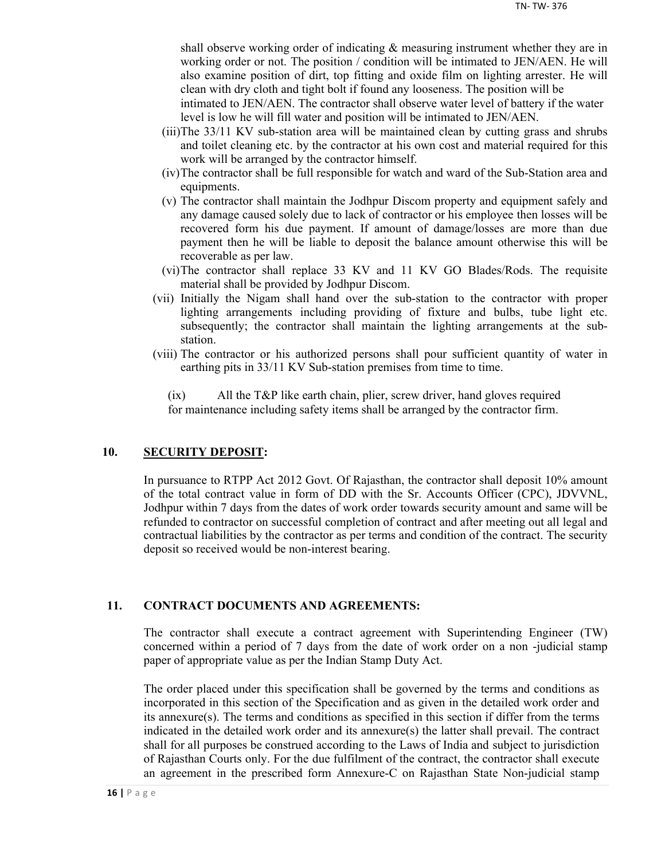shall observe working order of indicating & measuring instrument whether they are in working order or not. The position / condition will be intimated to JEN/AEN. He will also examine position of dirt, top fitting and oxide film on lighting arrester. He will clean with dry cloth and tight bolt if found any looseness. The position will be

intimated to JEN/AEN. The contractor shall observe water level of battery if the water level is low he will fill water and position will be intimated to JEN/AEN.

- (iii)The 33/11 KV sub-station area will be maintained clean by cutting grass and shrubs and toilet cleaning etc. by the contractor at his own cost and material required for this work will be arranged by the contractor himself.
- (iv)The contractor shall be full responsible for watch and ward of the Sub-Station area and equipments.
- (v) The contractor shall maintain the Jodhpur Discom property and equipment safely and any damage caused solely due to lack of contractor or his employee then losses will be recovered form his due payment. If amount of damage/losses are more than due payment then he will be liable to deposit the balance amount otherwise this will be recoverable as per law.
- (vi)The contractor shall replace 33 KV and 11 KV GO Blades/Rods. The requisite material shall be provided by Jodhpur Discom.
- (vii) Initially the Nigam shall hand over the sub-station to the contractor with proper lighting arrangements including providing of fixture and bulbs, tube light etc. subsequently; the contractor shall maintain the lighting arrangements at the substation.
- (viii) The contractor or his authorized persons shall pour sufficient quantity of water in earthing pits in 33/11 KV Sub-station premises from time to time.

(ix) All the T&P like earth chain, plier, screw driver, hand gloves required for maintenance including safety items shall be arranged by the contractor firm.

## **10. SECURITY DEPOSIT:**

In pursuance to RTPP Act 2012 Govt. Of Rajasthan, the contractor shall deposit 10% amount of the total contract value in form of DD with the Sr. Accounts Officer (CPC), JDVVNL, Jodhpur within 7 days from the dates of work order towards security amount and same will be refunded to contractor on successful completion of contract and after meeting out all legal and contractual liabilities by the contractor as per terms and condition of the contract. The security deposit so received would be non-interest bearing.

## **11. CONTRACT DOCUMENTS AND AGREEMENTS:**

The contractor shall execute a contract agreement with Superintending Engineer (TW) concerned within a period of 7 days from the date of work order on a non -judicial stamp paper of appropriate value as per the Indian Stamp Duty Act.

The order placed under this specification shall be governed by the terms and conditions as incorporated in this section of the Specification and as given in the detailed work order and its annexure(s). The terms and conditions as specified in this section if differ from the terms indicated in the detailed work order and its annexure(s) the latter shall prevail. The contract shall for all purposes be construed according to the Laws of India and subject to jurisdiction of Rajasthan Courts only. For the due fulfilment of the contract, the contractor shall execute an agreement in the prescribed form Annexure-C on Rajasthan State Non-judicial stamp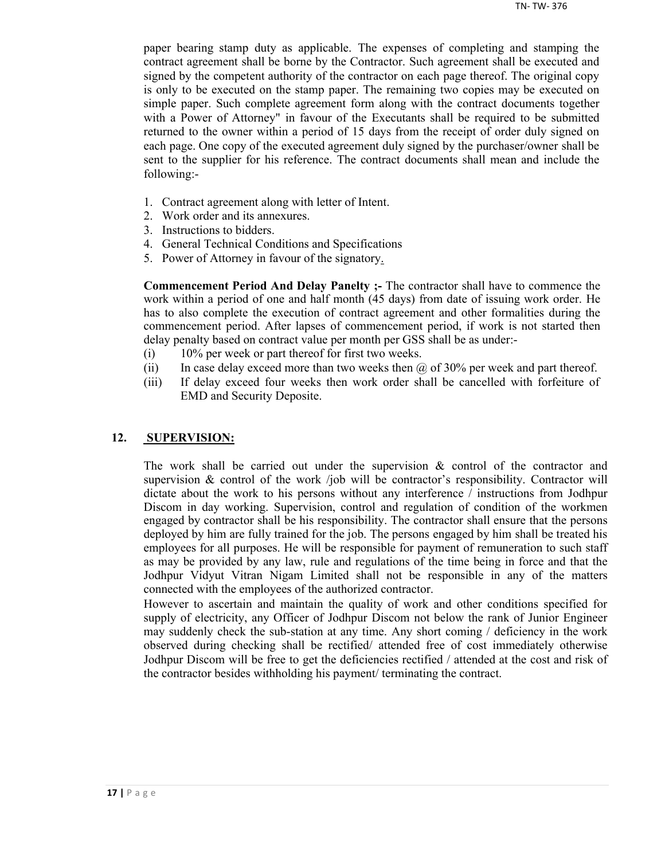paper bearing stamp duty as applicable. The expenses of completing and stamping the contract agreement shall be borne by the Contractor. Such agreement shall be executed and signed by the competent authority of the contractor on each page thereof. The original copy is only to be executed on the stamp paper. The remaining two copies may be executed on simple paper. Such complete agreement form along with the contract documents together with a Power of Attorney" in favour of the Executants shall be required to be submitted returned to the owner within a period of 15 days from the receipt of order duly signed on each page. One copy of the executed agreement duly signed by the purchaser/owner shall be sent to the supplier for his reference. The contract documents shall mean and include the following:-

- 1. Contract agreement along with letter of Intent.
- 2. Work order and its annexures.
- 3. Instructions to bidders.
- 4. General Technical Conditions and Specifications
- 5. Power of Attorney in favour of the signatory.

**Commencement Period And Delay Panelty ;-** The contractor shall have to commence the work within a period of one and half month (45 days) from date of issuing work order. He has to also complete the execution of contract agreement and other formalities during the commencement period. After lapses of commencement period, if work is not started then delay penalty based on contract value per month per GSS shall be as under:-

- (i) 10% per week or part thereof for first two weeks.
- (ii) In case delay exceed more than two weeks then  $\omega$  of 30% per week and part thereof.
- (iii) If delay exceed four weeks then work order shall be cancelled with forfeiture of EMD and Security Deposite.

#### **12. SUPERVISION:**

The work shall be carried out under the supervision  $\&$  control of the contractor and supervision  $\&$  control of the work /job will be contractor's responsibility. Contractor will dictate about the work to his persons without any interference / instructions from Jodhpur Discom in day working. Supervision, control and regulation of condition of the workmen engaged by contractor shall be his responsibility. The contractor shall ensure that the persons deployed by him are fully trained for the job. The persons engaged by him shall be treated his employees for all purposes. He will be responsible for payment of remuneration to such staff as may be provided by any law, rule and regulations of the time being in force and that the Jodhpur Vidyut Vitran Nigam Limited shall not be responsible in any of the matters connected with the employees of the authorized contractor.

However to ascertain and maintain the quality of work and other conditions specified for supply of electricity, any Officer of Jodhpur Discom not below the rank of Junior Engineer may suddenly check the sub-station at any time. Any short coming / deficiency in the work observed during checking shall be rectified/ attended free of cost immediately otherwise Jodhpur Discom will be free to get the deficiencies rectified / attended at the cost and risk of the contractor besides withholding his payment/ terminating the contract.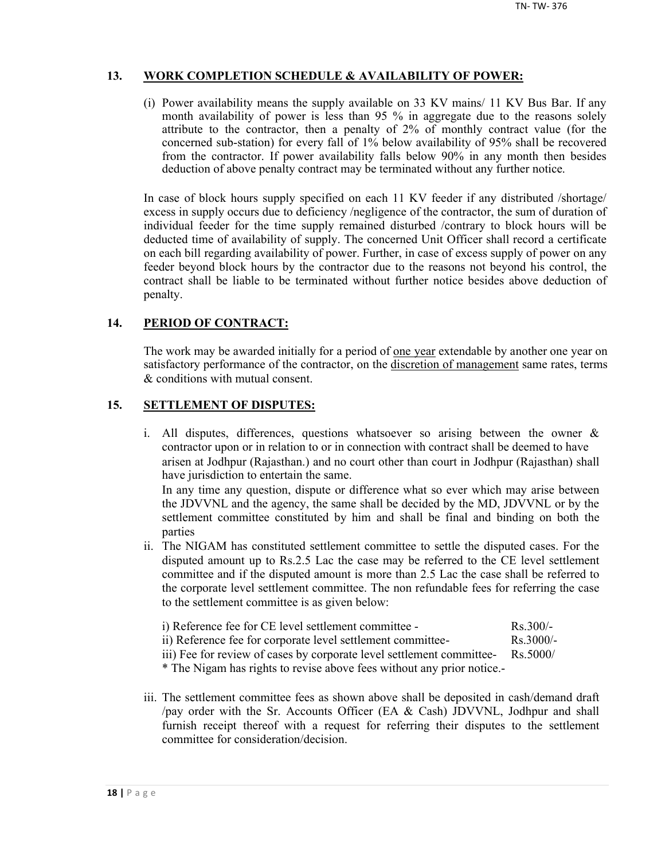## **13. WORK COMPLETION SCHEDULE & AVAILABILITY OF POWER:**

(i) Power availability means the supply available on 33 KV mains/ 11 KV Bus Bar. If any month availability of power is less than 95 % in aggregate due to the reasons solely attribute to the contractor, then a penalty of 2% of monthly contract value (for the concerned sub-station) for every fall of 1% below availability of 95% shall be recovered from the contractor. If power availability falls below 90% in any month then besides deduction of above penalty contract may be terminated without any further notice.

In case of block hours supply specified on each 11 KV feeder if any distributed /shortage/ excess in supply occurs due to deficiency /negligence of the contractor, the sum of duration of individual feeder for the time supply remained disturbed /contrary to block hours will be deducted time of availability of supply. The concerned Unit Officer shall record a certificate on each bill regarding availability of power. Further, in case of excess supply of power on any feeder beyond block hours by the contractor due to the reasons not beyond his control, the contract shall be liable to be terminated without further notice besides above deduction of penalty.

## **14. PERIOD OF CONTRACT:**

The work may be awarded initially for a period of <u>one year</u> extendable by another one year on satisfactory performance of the contractor, on the discretion of management same rates, terms & conditions with mutual consent.

## **15. SETTLEMENT OF DISPUTES:**

- i. All disputes, differences, questions whatsoever so arising between the owner & contractor upon or in relation to or in connection with contract shall be deemed to have arisen at Jodhpur (Rajasthan.) and no court other than court in Jodhpur (Rajasthan) shall have jurisdiction to entertain the same. In any time any question, dispute or difference what so ever which may arise between the JDVVNL and the agency, the same shall be decided by the MD, JDVVNL or by the settlement committee constituted by him and shall be final and binding on both the parties
- ii. The NIGAM has constituted settlement committee to settle the disputed cases. For the disputed amount up to Rs.2.5 Lac the case may be referred to the CE level settlement committee and if the disputed amount is more than 2.5 Lac the case shall be referred to the corporate level settlement committee. The non refundable fees for referring the case to the settlement committee is as given below:
	- i) Reference fee for CE level settlement committee Rs.300/ ii) Reference fee for corporate level settlement committee- Rs.3000/-

iii) Fee for review of cases by corporate level settlement committee- Rs.5000/

\* The Nigam has rights to revise above fees without any prior notice.-

iii. The settlement committee fees as shown above shall be deposited in cash/demand draft /pay order with the Sr. Accounts Officer (EA & Cash) JDVVNL, Jodhpur and shall furnish receipt thereof with a request for referring their disputes to the settlement committee for consideration/decision.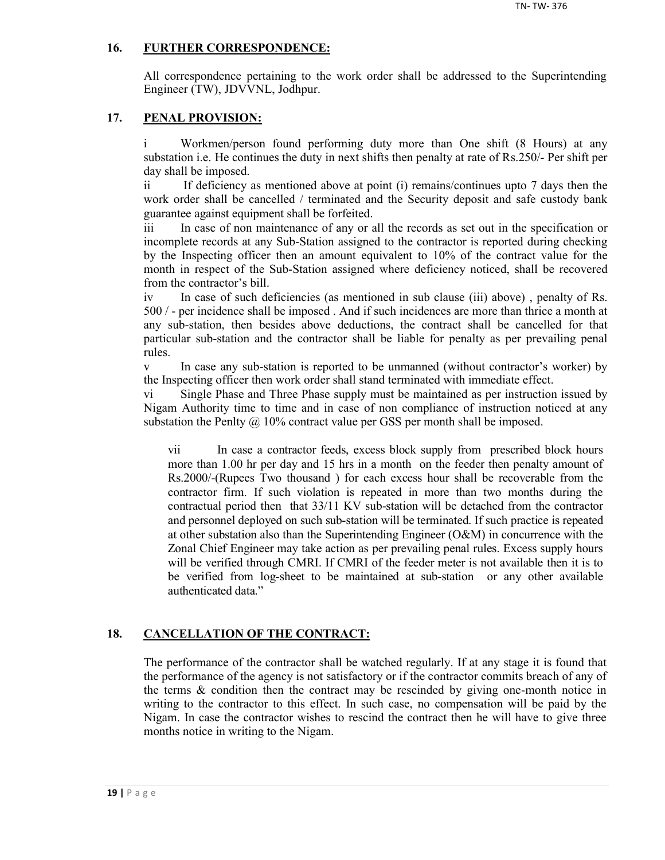## **16. FURTHER CORRESPONDENCE:**

All correspondence pertaining to the work order shall be addressed to the Superintending Engineer (TW), JDVVNL, Jodhpur.

## **17. PENAL PROVISION:**

i Workmen/person found performing duty more than One shift (8 Hours) at any substation i.e. He continues the duty in next shifts then penalty at rate of Rs.250/- Per shift per day shall be imposed.

ii If deficiency as mentioned above at point (i) remains/continues upto 7 days then the work order shall be cancelled / terminated and the Security deposit and safe custody bank guarantee against equipment shall be forfeited.

iii In case of non maintenance of any or all the records as set out in the specification or incomplete records at any Sub-Station assigned to the contractor is reported during checking by the Inspecting officer then an amount equivalent to 10% of the contract value for the month in respect of the Sub-Station assigned where deficiency noticed, shall be recovered from the contractor's bill.

iv In case of such deficiencies (as mentioned in sub clause (iii) above) , penalty of Rs. 500 / - per incidence shall be imposed . And if such incidences are more than thrice a month at any sub-station, then besides above deductions, the contract shall be cancelled for that particular sub-station and the contractor shall be liable for penalty as per prevailing penal rules.

v In case any sub-station is reported to be unmanned (without contractor's worker) by the Inspecting officer then work order shall stand terminated with immediate effect.

vi Single Phase and Three Phase supply must be maintained as per instruction issued by Nigam Authority time to time and in case of non compliance of instruction noticed at any substation the Penlty  $\omega$  10% contract value per GSS per month shall be imposed.

vii In case a contractor feeds, excess block supply from prescribed block hours more than 1.00 hr per day and 15 hrs in a month on the feeder then penalty amount of Rs.2000/-(Rupees Two thousand ) for each excess hour shall be recoverable from the contractor firm. If such violation is repeated in more than two months during the contractual period then that 33/11 KV sub-station will be detached from the contractor and personnel deployed on such sub-station will be terminated. If such practice is repeated at other substation also than the Superintending Engineer (O&M) in concurrence with the Zonal Chief Engineer may take action as per prevailing penal rules. Excess supply hours will be verified through CMRI. If CMRI of the feeder meter is not available then it is to be verified from log-sheet to be maintained at sub-station or any other available authenticated data."

## **18. CANCELLATION OF THE CONTRACT:**

The performance of the contractor shall be watched regularly. If at any stage it is found that the performance of the agency is not satisfactory or if the contractor commits breach of any of the terms  $\&$  condition then the contract may be rescinded by giving one-month notice in writing to the contractor to this effect. In such case, no compensation will be paid by the Nigam. In case the contractor wishes to rescind the contract then he will have to give three months notice in writing to the Nigam.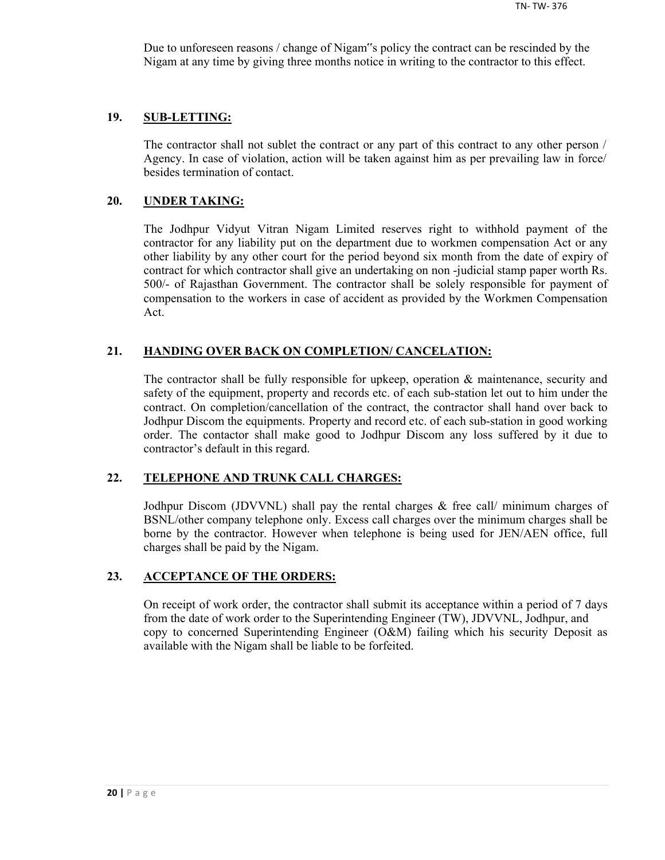Due to unforeseen reasons / change of Nigam"s policy the contract can be rescinded by the Nigam at any time by giving three months notice in writing to the contractor to this effect.

#### **19. SUB-LETTING:**

The contractor shall not sublet the contract or any part of this contract to any other person / Agency. In case of violation, action will be taken against him as per prevailing law in force/ besides termination of contact.

#### **20. UNDER TAKING:**

The Jodhpur Vidyut Vitran Nigam Limited reserves right to withhold payment of the contractor for any liability put on the department due to workmen compensation Act or any other liability by any other court for the period beyond six month from the date of expiry of contract for which contractor shall give an undertaking on non -judicial stamp paper worth Rs. 500/- of Rajasthan Government. The contractor shall be solely responsible for payment of compensation to the workers in case of accident as provided by the Workmen Compensation Act.

## **21. HANDING OVER BACK ON COMPLETION/ CANCELATION:**

The contractor shall be fully responsible for upkeep, operation & maintenance, security and safety of the equipment, property and records etc. of each sub-station let out to him under the contract. On completion/cancellation of the contract, the contractor shall hand over back to Jodhpur Discom the equipments. Property and record etc. of each sub-station in good working order. The contactor shall make good to Jodhpur Discom any loss suffered by it due to contractor's default in this regard.

## **22. TELEPHONE AND TRUNK CALL CHARGES:**

Jodhpur Discom (JDVVNL) shall pay the rental charges & free call/ minimum charges of BSNL/other company telephone only. Excess call charges over the minimum charges shall be borne by the contractor. However when telephone is being used for JEN/AEN office, full charges shall be paid by the Nigam.

#### **23. ACCEPTANCE OF THE ORDERS:**

On receipt of work order, the contractor shall submit its acceptance within a period of 7 days from the date of work order to the Superintending Engineer (TW), JDVVNL, Jodhpur, and copy to concerned Superintending Engineer (O&M) failing which his security Deposit as available with the Nigam shall be liable to be forfeited.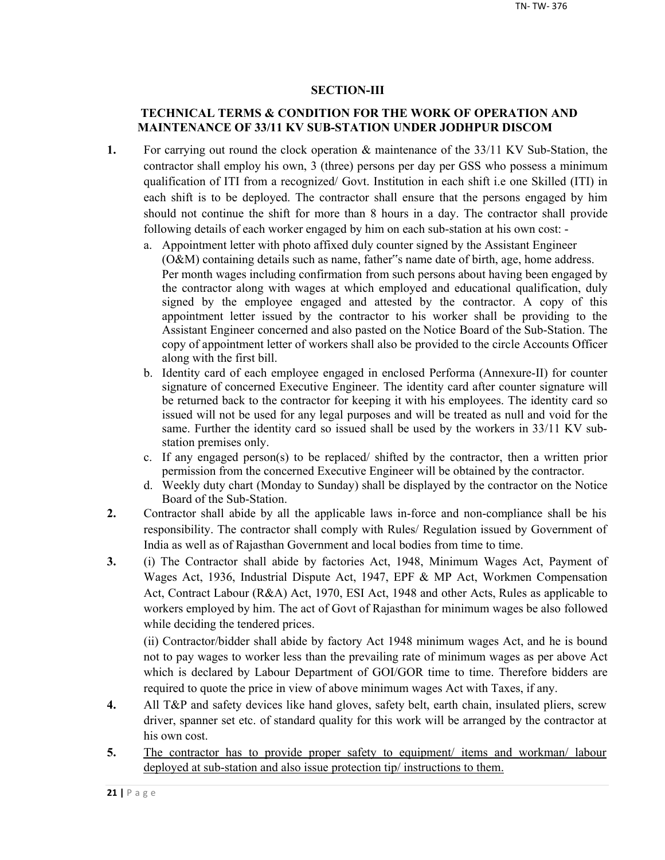## **SECTION-III**

## **TECHNICAL TERMS & CONDITION FOR THE WORK OF OPERATION AND MAINTENANCE OF 33/11 KV SUB-STATION UNDER JODHPUR DISCOM**

- **1.** For carrying out round the clock operation & maintenance of the 33/11 KV Sub-Station, the contractor shall employ his own, 3 (three) persons per day per GSS who possess a minimum qualification of ITI from a recognized/ Govt. Institution in each shift i.e one Skilled (ITI) in each shift is to be deployed. The contractor shall ensure that the persons engaged by him should not continue the shift for more than 8 hours in a day. The contractor shall provide following details of each worker engaged by him on each sub-station at his own cost:
	- a. Appointment letter with photo affixed duly counter signed by the Assistant Engineer (O&M) containing details such as name, father"s name date of birth, age, home address. Per month wages including confirmation from such persons about having been engaged by the contractor along with wages at which employed and educational qualification, duly signed by the employee engaged and attested by the contractor. A copy of this appointment letter issued by the contractor to his worker shall be providing to the Assistant Engineer concerned and also pasted on the Notice Board of the Sub-Station. The copy of appointment letter of workers shall also be provided to the circle Accounts Officer along with the first bill.
	- b. Identity card of each employee engaged in enclosed Performa (Annexure-II) for counter signature of concerned Executive Engineer. The identity card after counter signature will be returned back to the contractor for keeping it with his employees. The identity card so issued will not be used for any legal purposes and will be treated as null and void for the same. Further the identity card so issued shall be used by the workers in 33/11 KV substation premises only.
	- c. If any engaged person(s) to be replaced/ shifted by the contractor, then a written prior permission from the concerned Executive Engineer will be obtained by the contractor.
	- d. Weekly duty chart (Monday to Sunday) shall be displayed by the contractor on the Notice Board of the Sub-Station.
- **2.** Contractor shall abide by all the applicable laws in-force and non-compliance shall be his responsibility. The contractor shall comply with Rules/ Regulation issued by Government of India as well as of Rajasthan Government and local bodies from time to time.
- **3.** (i) The Contractor shall abide by factories Act, 1948, Minimum Wages Act, Payment of Wages Act, 1936, Industrial Dispute Act, 1947, EPF & MP Act, Workmen Compensation Act, Contract Labour (R&A) Act, 1970, ESI Act, 1948 and other Acts, Rules as applicable to workers employed by him. The act of Govt of Rajasthan for minimum wages be also followed while deciding the tendered prices.

(ii) Contractor/bidder shall abide by factory Act 1948 minimum wages Act, and he is bound not to pay wages to worker less than the prevailing rate of minimum wages as per above Act which is declared by Labour Department of GOI/GOR time to time. Therefore bidders are required to quote the price in view of above minimum wages Act with Taxes, if any.

- **4.** All T&P and safety devices like hand gloves, safety belt, earth chain, insulated pliers, screw driver, spanner set etc. of standard quality for this work will be arranged by the contractor at his own cost.
- 5. The contractor has to provide proper safety to equipment/ items and workman/ labour deployed at sub-station and also issue protection tip/ instructions to them.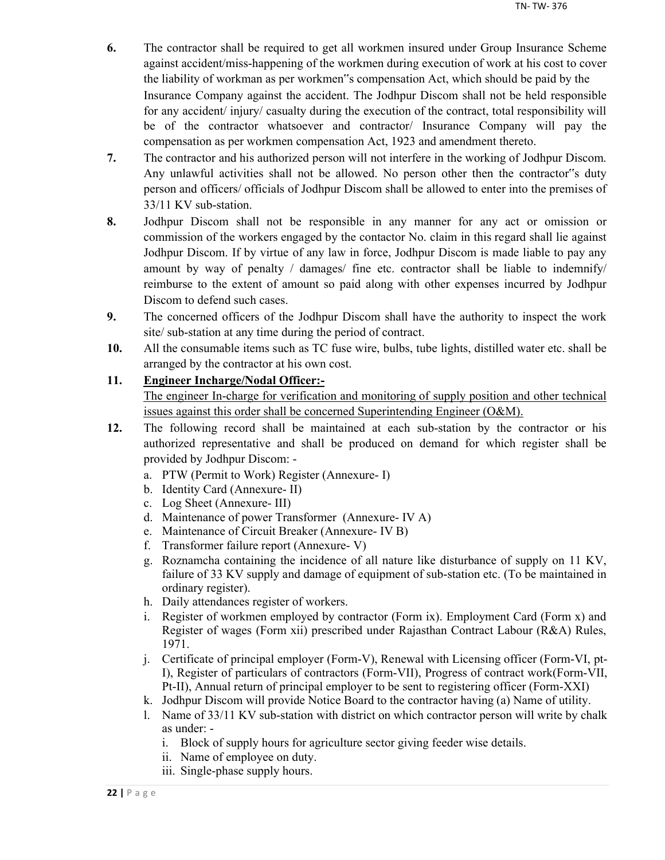- **6.** The contractor shall be required to get all workmen insured under Group Insurance Scheme against accident/miss-happening of the workmen during execution of work at his cost to cover the liability of workman as per workmen"s compensation Act, which should be paid by the Insurance Company against the accident. The Jodhpur Discom shall not be held responsible for any accident/ injury/ casualty during the execution of the contract, total responsibility will be of the contractor whatsoever and contractor/ Insurance Company will pay the compensation as per workmen compensation Act, 1923 and amendment thereto.
- **7.** The contractor and his authorized person will not interfere in the working of Jodhpur Discom. Any unlawful activities shall not be allowed. No person other then the contractor"s duty person and officers/ officials of Jodhpur Discom shall be allowed to enter into the premises of 33/11 KV sub-station.
- **8.** Jodhpur Discom shall not be responsible in any manner for any act or omission or commission of the workers engaged by the contactor No. claim in this regard shall lie against Jodhpur Discom. If by virtue of any law in force, Jodhpur Discom is made liable to pay any amount by way of penalty / damages/ fine etc. contractor shall be liable to indemnify/ reimburse to the extent of amount so paid along with other expenses incurred by Jodhpur Discom to defend such cases.
- **9.** The concerned officers of the Jodhpur Discom shall have the authority to inspect the work site/ sub-station at any time during the period of contract.
- **10.** All the consumable items such as TC fuse wire, bulbs, tube lights, distilled water etc. shall be arranged by the contractor at his own cost.

## **11. Engineer Incharge/Nodal Officer:-**

The engineer In-charge for verification and monitoring of supply position and other technical issues against this order shall be concerned Superintending Engineer (O&M).

- **12.** The following record shall be maintained at each sub-station by the contractor or his authorized representative and shall be produced on demand for which register shall be provided by Jodhpur Discom:
	- a. PTW (Permit to Work) Register (Annexure- I)
	- b. Identity Card (Annexure- II)
	- c. Log Sheet (Annexure- III)
	- d. Maintenance of power Transformer (Annexure- IV A)
	- e. Maintenance of Circuit Breaker (Annexure- IV B)
	- f. Transformer failure report (Annexure- V)
	- g. Roznamcha containing the incidence of all nature like disturbance of supply on 11 KV, failure of 33 KV supply and damage of equipment of sub-station etc. (To be maintained in ordinary register).
	- h. Daily attendances register of workers.
	- i. Register of workmen employed by contractor (Form ix). Employment Card (Form x) and Register of wages (Form xii) prescribed under Rajasthan Contract Labour (R&A) Rules, 1971.
	- j. Certificate of principal employer (Form-V), Renewal with Licensing officer (Form-VI, pt-I), Register of particulars of contractors (Form-VII), Progress of contract work(Form-VII, Pt-II), Annual return of principal employer to be sent to registering officer (Form-XXI)
	- k. Jodhpur Discom will provide Notice Board to the contractor having (a) Name of utility.
	- l. Name of 33/11 KV sub-station with district on which contractor person will write by chalk as under:
		- i. Block of supply hours for agriculture sector giving feeder wise details.
		- ii. Name of employee on duty.
		- iii. Single-phase supply hours.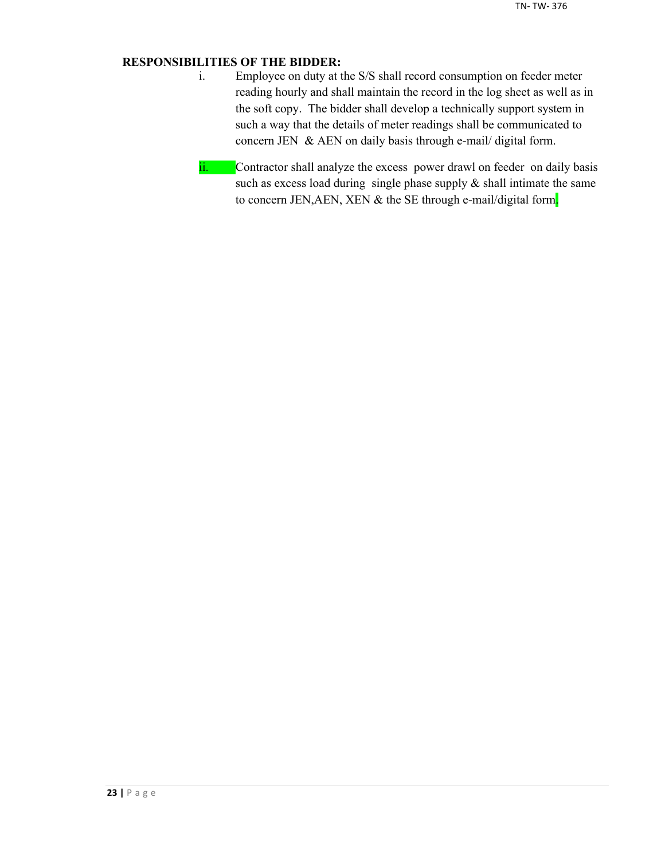## **RESPONSIBILITIES OF THE BIDDER:**

- i. Employee on duty at the S/S shall record consumption on feeder meter reading hourly and shall maintain the record in the log sheet as well as in the soft copy. The bidder shall develop a technically support system in such a way that the details of meter readings shall be communicated to concern JEN & AEN on daily basis through e-mail/ digital form.
- ii. Contractor shall analyze the excess power drawl on feeder on daily basis such as excess load during single phase supply  $\&$  shall intimate the same to concern JEN, AEN, XEN & the SE through e-mail/digital form.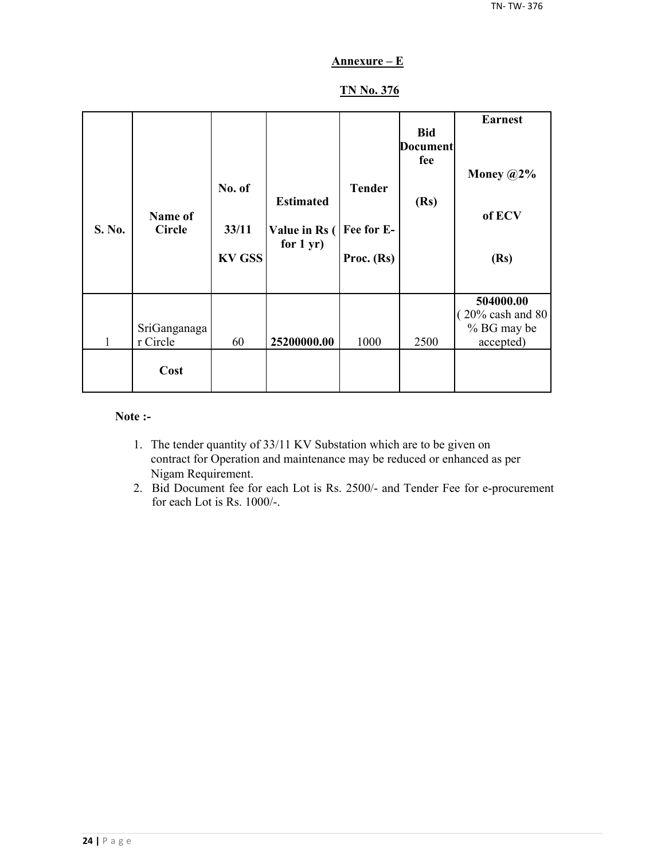## **Annexure – E**

## **TN No. 376**

| S. No. | Name of<br><b>Circle</b> | No. of<br>33/11<br><b>KV GSS</b> | <b>Estimated</b><br>Value in Rs (<br>for $1 yr$ ) | <b>Tender</b><br>Fee for E-<br>Proc. (Rs) | <b>Bid</b><br><b>Document</b><br>fee<br>(Rs) | <b>Earnest</b><br>Money $@2\%$<br>of ECV<br>(Rs)                       |
|--------|--------------------------|----------------------------------|---------------------------------------------------|-------------------------------------------|----------------------------------------------|------------------------------------------------------------------------|
| 1      | SriGanganaga<br>r Circle | 60                               | 25200000.00                                       | 1000                                      | 2500                                         | 504000.00<br>$(20\% \text{ cash and } 80)$<br>% BG may be<br>accepted) |
|        | Cost                     |                                  |                                                   |                                           |                                              |                                                                        |

#### **Note :-**

- 1. The tender quantity of 33/11 KV Substation which are to be given on contract for Operation and maintenance may be reduced or enhanced as per Nigam Requirement.
- 2. Bid Document fee for each Lot is Rs. 2500/- and Tender Fee for e-procurement for each Lot is Rs. 1000/-.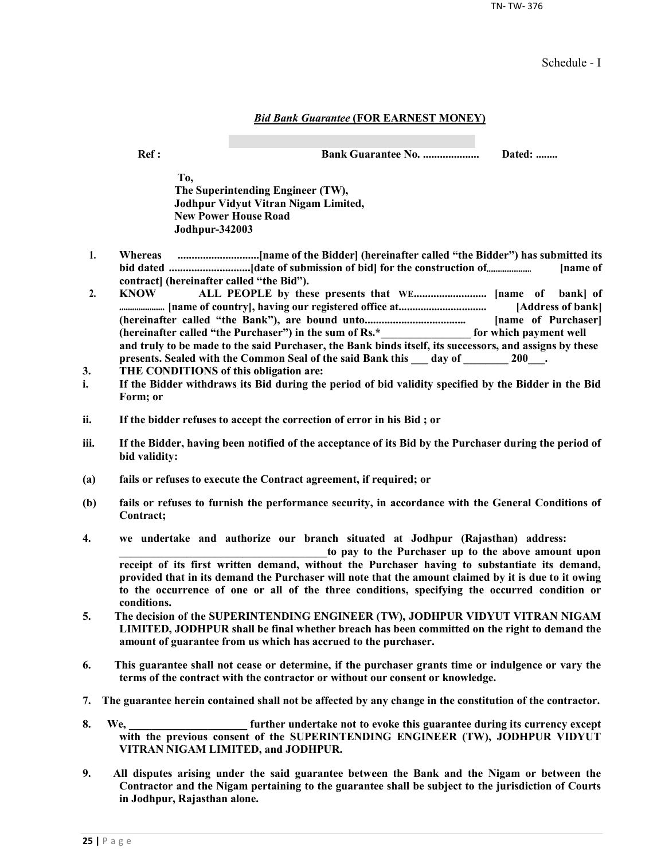TN- TW- 376

Schedule - I

#### *Bid Bank Guarantee* **(FOR EARNEST MONEY)**

**Ref : Bank Guarantee No. .................... Dated: ........**

**To, The Superintending Engineer (TW), Jodhpur Vidyut Vitran Nigam Limited, New Power House Road Jodhpur-342003**

- **1. Whereas .............................[name of the Bidder] (hereinafter called "the Bidder") has submitted its bid dated .............................[date of submission of bid] for the construction of......................... [name of contract] (hereinafter called "the Bid").**
- **2. KNOW ALL PEOPLE by these presents that WE.......................... [name of bank] of ..................... [name of country], having our registered office at................................ [Address of bank] (hereinafter called "the Bank"), are bound unto.................................... [name of Purchaser] (hereinafter called "the Purchaser") in the sum of Rs.\*\_\_\_\_\_\_\_\_\_\_\_\_\_\_\_\_ for which payment well and truly to be made to the said Purchaser, the Bank binds itself, its successors, and assigns by these**  presents. Sealed with the Common Seal of the said Bank this \_\_\_ day of \_\_\_\_\_\_\_ 200\_\_\_.
- **3. THE CONDITIONS of this obligation are:**
- **i. If the Bidder withdraws its Bid during the period of bid validity specified by the Bidder in the Bid Form; or**
- **ii. If the bidder refuses to accept the correction of error in his Bid ; or**
- **iii. If the Bidder, having been notified of the acceptance of its Bid by the Purchaser during the period of bid validity:**
- **(a) fails or refuses to execute the Contract agreement, if required; or**
- **(b) fails or refuses to furnish the performance security, in accordance with the General Conditions of Contract;**
- **4. we undertake and authorize our branch situated at Jodhpur (Rajasthan) address:**

to pay to the Purchaser up to the above amount upon **receipt of its first written demand, without the Purchaser having to substantiate its demand, provided that in its demand the Purchaser will note that the amount claimed by it is due to it owing to the occurrence of one or all of the three conditions, specifying the occurred condition or conditions.**

- **5. The decision of the SUPERINTENDING ENGINEER (TW), JODHPUR VIDYUT VITRAN NIGAM LIMITED, JODHPUR shall be final whether breach has been committed on the right to demand the amount of guarantee from us which has accrued to the purchaser.**
- **6. This guarantee shall not cease or determine, if the purchaser grants time or indulgence or vary the terms of the contract with the contractor or without our consent or knowledge.**
- **7. The guarantee herein contained shall not be affected by any change in the constitution of the contractor.**
- **8. We, \_\_\_\_\_\_\_\_\_\_\_\_\_\_\_\_\_\_\_\_\_ further undertake not to evoke this guarantee during its currency except with the previous consent of the SUPERINTENDING ENGINEER (TW), JODHPUR VIDYUT VITRAN NIGAM LIMITED, and JODHPUR.**
- **9. All disputes arising under the said guarantee between the Bank and the Nigam or between the Contractor and the Nigam pertaining to the guarantee shall be subject to the jurisdiction of Courts in Jodhpur, Rajasthan alone.**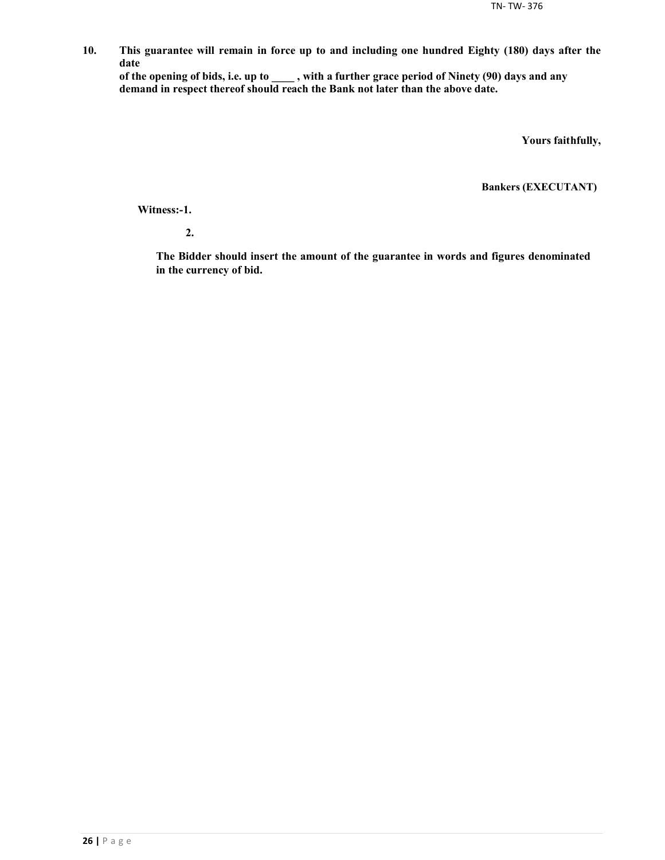**10. This guarantee will remain in force up to and including one hundred Eighty (180) days after the date**

**of the opening of bids, i.e. up to \_\_\_\_ , with a further grace period of Ninety (90) days and any demand in respect thereof should reach the Bank not later than the above date.**

**Yours faithfully,**

**Bankers (EXECUTANT)**

**Witness:-1.**

**2.**

**The Bidder should insert the amount of the guarantee in words and figures denominated in the currency of bid.**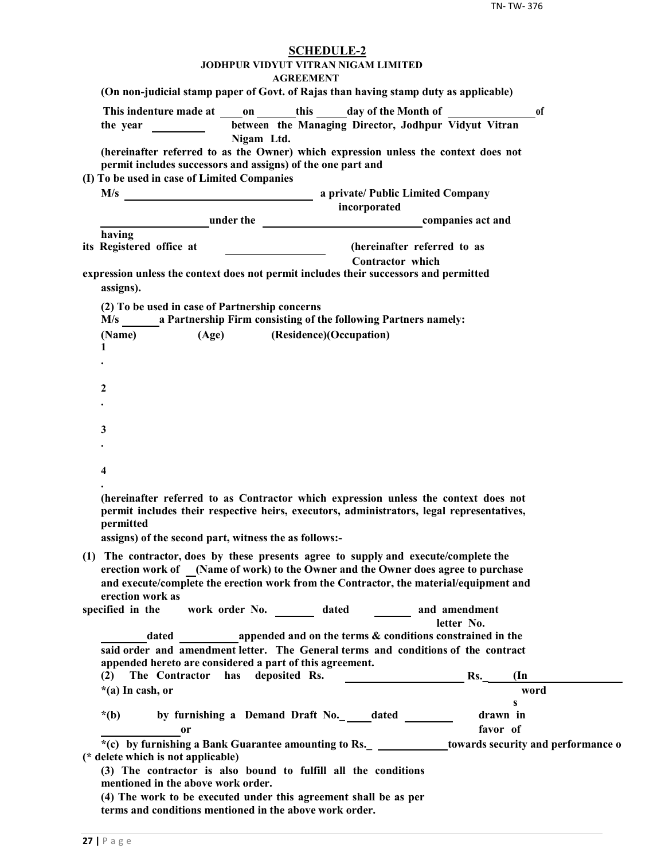| <b>SCHEDULE-2</b><br>JODHPUR VIDYUT VITRAN NIGAM LIMITED                                                                                                                                                                                               |
|--------------------------------------------------------------------------------------------------------------------------------------------------------------------------------------------------------------------------------------------------------|
| <b>AGREEMENT</b><br>(On non-judicial stamp paper of Govt. of Rajas than having stamp duty as applicable)                                                                                                                                               |
|                                                                                                                                                                                                                                                        |
| This indenture made at on this day of the Month of<br><sup>of</sup>                                                                                                                                                                                    |
| between the Managing Director, Jodhpur Vidyut Vitran<br>the year $\frac{1}{\sqrt{1-\frac{1}{2}} \cdot \frac{1}{2}}$<br>Nigam Ltd.                                                                                                                      |
| (hereinafter referred to as the Owner) which expression unless the context does not                                                                                                                                                                    |
| permit includes successors and assigns) of the one part and                                                                                                                                                                                            |
| (I) To be used in case of Limited Companies                                                                                                                                                                                                            |
|                                                                                                                                                                                                                                                        |
| incorporated<br><b>Example 2</b> under the <b>companies</b> act and                                                                                                                                                                                    |
| having                                                                                                                                                                                                                                                 |
| its Registered office at<br>(hereinafter referred to as                                                                                                                                                                                                |
| <b>Contractor</b> which                                                                                                                                                                                                                                |
| expression unless the context does not permit includes their successors and permitted<br>assigns).                                                                                                                                                     |
| (2) To be used in case of Partnership concerns                                                                                                                                                                                                         |
| M/s a Partnership Firm consisting of the following Partners namely:                                                                                                                                                                                    |
| (Age) (Residence)(Occupation)<br>(Name)                                                                                                                                                                                                                |
| 1                                                                                                                                                                                                                                                      |
|                                                                                                                                                                                                                                                        |
| 2                                                                                                                                                                                                                                                      |
|                                                                                                                                                                                                                                                        |
|                                                                                                                                                                                                                                                        |
| 3                                                                                                                                                                                                                                                      |
|                                                                                                                                                                                                                                                        |
|                                                                                                                                                                                                                                                        |
| 4                                                                                                                                                                                                                                                      |
| (hereinafter referred to as Contractor which expression unless the context does not<br>permit includes their respective heirs, executors, administrators, legal representatives,<br>permitted<br>assigns) of the second part, witness the as follows:- |
| (1) The contractor, does by these presents agree to supply and execute/complete the                                                                                                                                                                    |
| erection work of (Name of work) to the Owner and the Owner does agree to purchase                                                                                                                                                                      |
| and execute/complete the erection work from the Contractor, the material/equipment and                                                                                                                                                                 |
| erection work as                                                                                                                                                                                                                                       |
| work order No. _________ dated _________ and amendment<br>specified in the                                                                                                                                                                             |
| letter No.                                                                                                                                                                                                                                             |
| dated a propended and on the terms & conditions constrained in the                                                                                                                                                                                     |
| said order and amendment letter. The General terms and conditions of the contract<br>appended hereto are considered a part of this agreement.                                                                                                          |
| The Contractor has deposited Rs.<br>$\mathbf{Rs.}$<br>$(\text{In})$<br>(2)                                                                                                                                                                             |
| *(a) In cash, or<br>word                                                                                                                                                                                                                               |
| $\mathbf{s}$                                                                                                                                                                                                                                           |
| by furnishing a Demand Draft No._edated ______<br>drawn in<br>$*(b)$                                                                                                                                                                                   |
| favor of<br><sub>or</sub>                                                                                                                                                                                                                              |
| *(c) by furnishing a Bank Guarantee amounting to Rs. _ _____________towards security and performance o<br>(* delete which is not applicable)                                                                                                           |
| (3) The contractor is also bound to fulfill all the conditions<br>mentioned in the above work order.                                                                                                                                                   |
| (4) The work to be executed under this agreement shall be as per<br>terms and conditions mentioned in the above work order.                                                                                                                            |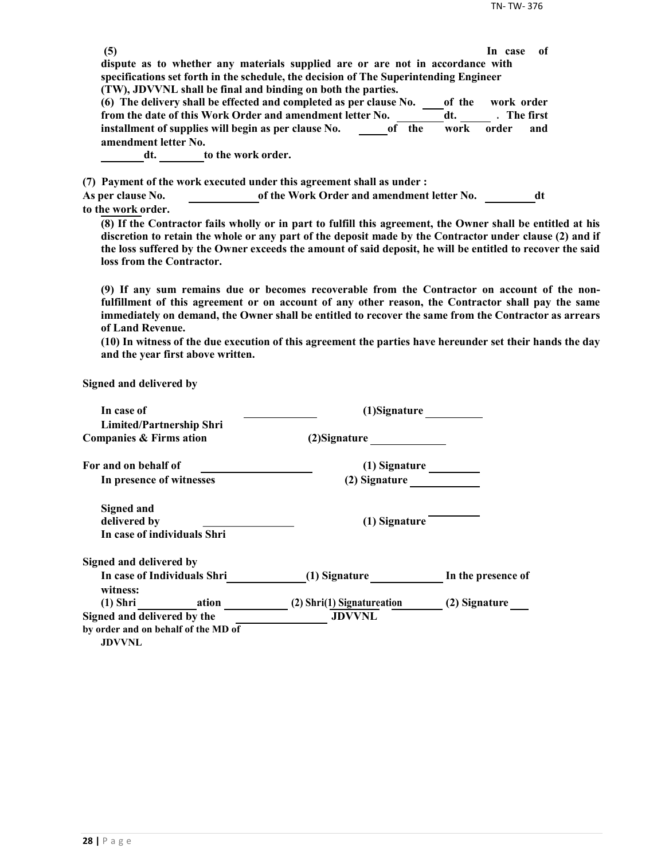| (5)                      |                                                                                                             | -of<br>In case |  |
|--------------------------|-------------------------------------------------------------------------------------------------------------|----------------|--|
|                          | dispute as to whether any materials supplied are or are not in accordance with                              |                |  |
|                          | specifications set forth in the schedule, the decision of The Superintending Engineer                       |                |  |
|                          | (TW), JDVVNL shall be final and binding on both the parties.                                                |                |  |
|                          | (6) The delivery shall be effected and completed as per clause No.<br>of the                                | work order     |  |
|                          | from the date of this Work Order and amendment letter No.<br>dt.                                            | . The first    |  |
|                          | installment of supplies will begin as per clause No.<br>the<br>work<br>of                                   | order<br>and   |  |
| amendment letter No.     |                                                                                                             |                |  |
| dt. to the work order.   |                                                                                                             |                |  |
|                          |                                                                                                             |                |  |
|                          | (7) Payment of the work executed under this agreement shall as under:                                       |                |  |
| <b>As per clause No.</b> | of the Work Order and amendment letter No.                                                                  | dt             |  |
| to the work order.       |                                                                                                             |                |  |
|                          | (8) If the Contractor fails wholly or in part to fulfill this agreement, the Owner shall be entitled at his |                |  |
|                          |                                                                                                             |                |  |

**discretion to retain the whole or any part of the deposit made by the Contractor under clause (2) and if the loss suffered by the Owner exceeds the amount of said deposit, he will be entitled to recover the said loss from the Contractor.**

**(9) If any sum remains due or becomes recoverable from the Contractor on account of the nonfulfillment of this agreement or on account of any other reason, the Contractor shall pay the same immediately on demand, the Owner shall be entitled to recover the same from the Contractor as arrears of Land Revenue.**

**(10) In witness of the due execution of this agreement the parties have hereunder set their hands the day and the year first above written.**

**Signed and delivered by**

| In case of                                                       | (1)Signature               |                    |
|------------------------------------------------------------------|----------------------------|--------------------|
| <b>Limited/Partnership Shri</b><br>Companies & Firms ation       | (2) Signature              |                    |
| For and on behalf of                                             | $(1)$ Signature            |                    |
| In presence of witnesses                                         | (2) Signature              |                    |
| <b>Signed and</b><br>delivered by<br>In case of individuals Shri | (1) Signature              |                    |
| Signed and delivered by                                          |                            |                    |
| In case of Individuals Shri<br>witness:                          | (1) Signature              | In the presence of |
| (1) Shri ation                                                   | (2) Shri(1) Signatureation | (2) Signature      |
| Signed and delivered by the                                      | <b>JDVVNL</b>              |                    |
| by order and on behalf of the MD of<br><b>JDVVNL</b>             |                            |                    |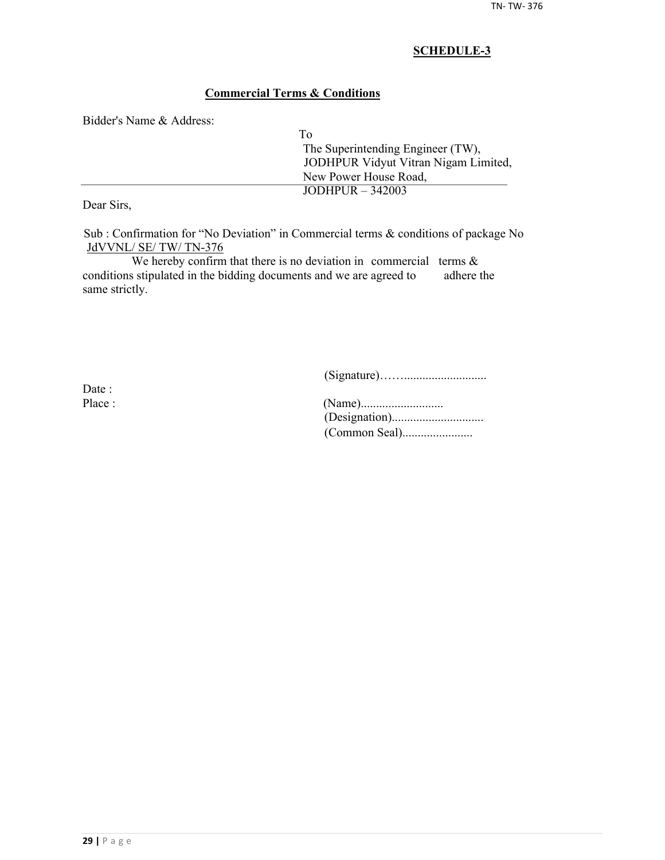## **Commercial Terms & Conditions**

Bidder's Name & Address:

| To                                   |
|--------------------------------------|
| The Superintending Engineer (TW),    |
| JODHPUR Vidyut Vitran Nigam Limited, |
| New Power House Road,                |
| JODHPUR $-342003$                    |
|                                      |

Dear Sirs,

Sub : Confirmation for "No Deviation" in Commercial terms & conditions of package No JdVVNL/ SE/ TW/ TN-376

We hereby confirm that there is no deviation in commercial terms  $\&$ conditions stipulated in the bidding documents and we are agreed to adhere the same strictly.

(Signature)……...........................

Date :

| Place : |  |
|---------|--|
|         |  |
|         |  |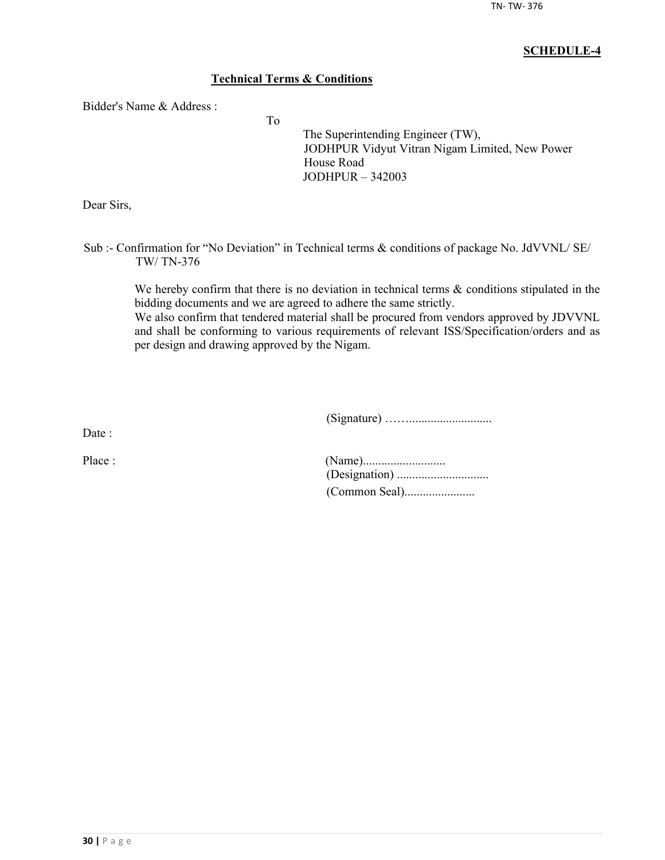## **Technical Terms & Conditions**

To

Bidder's Name & Address :

The Superintending Engineer (TW), JODHPUR Vidyut Vitran Nigam Limited, New Power House Road JODHPUR – 342003

Dear Sirs,

Sub :- Confirmation for "No Deviation" in Technical terms & conditions of package No. JdVVNL/ SE/ TW/ TN-376

We hereby confirm that there is no deviation in technical terms  $\&$  conditions stipulated in the bidding documents and we are agreed to adhere the same strictly.

We also confirm that tendered material shall be procured from vendors approved by JDVVNL and shall be conforming to various requirements of relevant ISS/Specification/orders and as per design and drawing approved by the Nigam.

(Signature) ……...........................

Date :

| Place : |  |
|---------|--|
|         |  |
|         |  |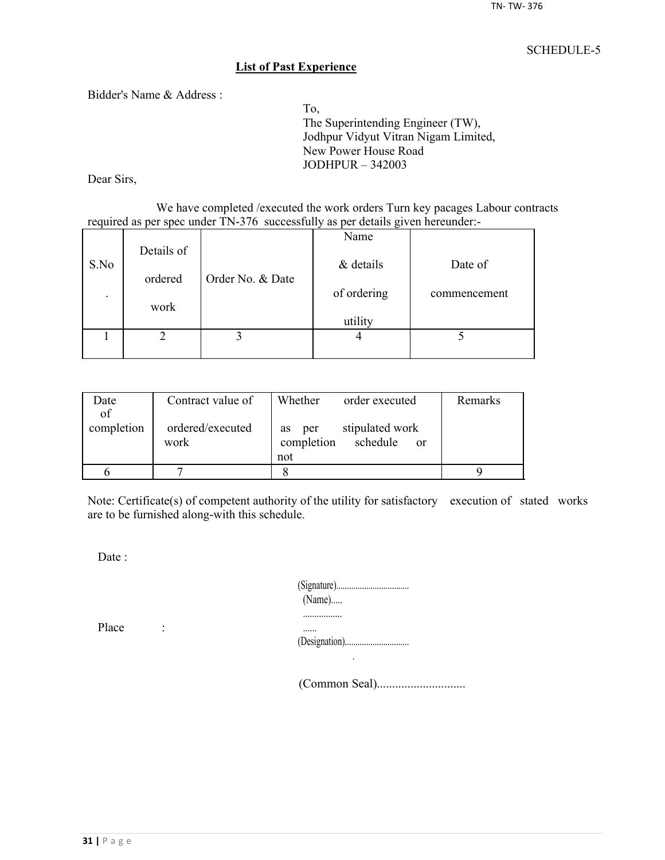#### **List of Past Experience**

Bidder's Name & Address :

To, The Superintending Engineer (TW), Jodhpur Vidyut Vitran Nigam Limited, New Power House Road JODHPUR – 342003

Dear Sirs,

We have completed /executed the work orders Turn key pacages Labour contracts required as per spec under TN-376 successfully as per details given hereunder:-

|                          |            |                  | Name        |              |
|--------------------------|------------|------------------|-------------|--------------|
| S.No                     | Details of |                  | & details   | Date of      |
|                          | ordered    | Order No. & Date |             |              |
| $\overline{\phantom{a}}$ |            |                  | of ordering | commencement |
|                          | work       |                  | utility     |              |
|                          |            |                  |             |              |
|                          |            |                  |             |              |

| Date       | Contract value of        | Whether<br>order executed                                     | Remarks |
|------------|--------------------------|---------------------------------------------------------------|---------|
| of         |                          |                                                               |         |
| completion | ordered/executed<br>work | stipulated work<br>per<br><b>as</b><br>completion<br>schedule |         |
|            |                          | <sub>or</sub><br>not                                          |         |
|            |                          |                                                               |         |
|            |                          |                                                               |         |

Note: Certificate(s) of competent authority of the utility for satisfactory execution of stated works are to be furnished along-with this schedule.

Date :

| $(Name)$ |
|----------|
|          |
|          |

Place :

(Common Seal).............................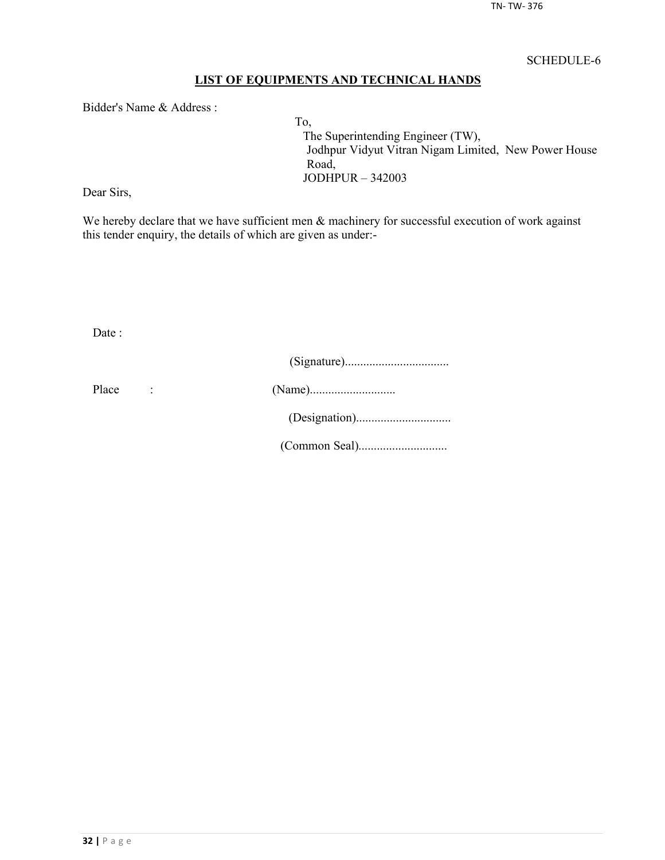## **LIST OF EQUIPMENTS AND TECHNICAL HANDS**

Bidder's Name & Address :

To, The Superintending Engineer (TW), Jodhpur Vidyut Vitran Nigam Limited, New Power House Road, JODHPUR – 342003

Dear Sirs,

We hereby declare that we have sufficient men  $\&$  machinery for successful execution of work against this tender enquiry, the details of which are given as under:-

Date :

| Place |  |
|-------|--|
|       |  |
|       |  |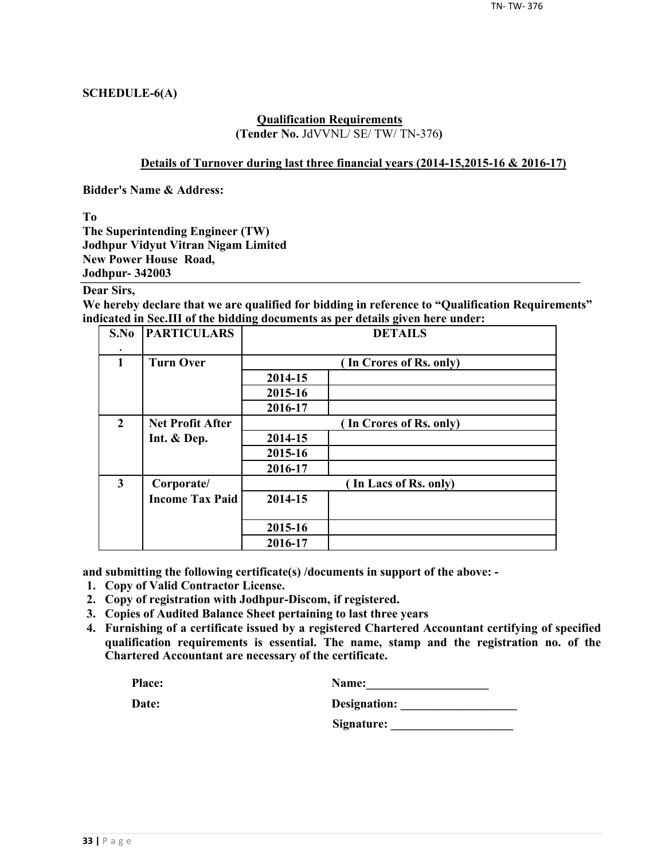## **SCHEDULE-6(A)**

#### **Qualification Requirements (Tender No.** JdVVNL/ SE/ TW/ TN-376**)**

#### **Details of Turnover during last three financial years (2014-15,2015-16 & 2016-17)**

**Bidder's Name & Address:**

**To**

**The Superintending Engineer (TW) Jodhpur Vidyut Vitran Nigam Limited New Power House Road, Jodhpur- 342003**

## **Dear Sirs,**

**We hereby declare that we are qualified for bidding in reference to "Qualification Requirements" indicated in Sec.III of the bidding documents as per details given here under:**

| S.No                    | <b>PARTICULARS</b>      | <b>DETAILS</b> |                         |  |  |  |  |
|-------------------------|-------------------------|----------------|-------------------------|--|--|--|--|
| $\mathbf{1}$            | <b>Turn Over</b>        |                | (In Crores of Rs. only) |  |  |  |  |
|                         |                         | 2014-15        |                         |  |  |  |  |
|                         |                         | 2015-16        |                         |  |  |  |  |
|                         |                         | 2016-17        |                         |  |  |  |  |
| $\overline{2}$          | <b>Net Profit After</b> |                | (In Crores of Rs. only) |  |  |  |  |
|                         | Int. & Dep.             | 2014-15        |                         |  |  |  |  |
|                         |                         | 2015-16        |                         |  |  |  |  |
|                         |                         | 2016-17        |                         |  |  |  |  |
| $\overline{\mathbf{3}}$ | Corporate/              |                | (In Lacs of Rs. only)   |  |  |  |  |
|                         | <b>Income Tax Paid</b>  | 2014-15        |                         |  |  |  |  |
|                         |                         | 2015-16        |                         |  |  |  |  |
|                         |                         | 2016-17        |                         |  |  |  |  |

**and submitting the following certificate(s) /documents in support of the above: -**

- **1. Copy of Valid Contractor License.**
- **2. Copy of registration with Jodhpur-Discom, if registered.**
- **3. Copies of Audited Balance Sheet pertaining to last three years**
- **4. Furnishing of a certificate issued by a registered Chartered Accountant certifying of specified qualification requirements is essential. The name, stamp and the registration no. of the Chartered Accountant are necessary of the certificate.**

| Place: | <b>Name:</b> |
|--------|--------------|
|        |              |

| Date: | Designation: |
|-------|--------------|
|       |              |

**Signature: \_\_\_\_\_\_\_\_\_\_\_\_\_\_\_\_\_\_\_\_**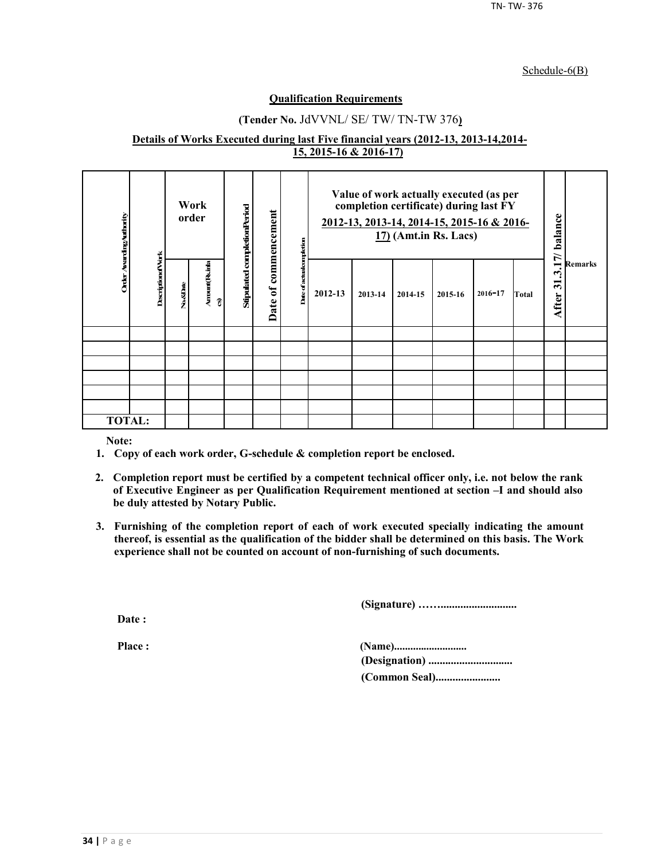#### Schedule-6(B)

#### **Qualification Requirements**

## **(Tender No.** JdVVNL/ SE/ TW/ TN-TW 376**)**

#### **Details of Works Executed during last Five financial years (2012-13, 2013-14,2014- 15, 2015-16 & 2016-17)**

| Order Avarding Authority |                          |          | Work<br>order        | Stipulated completionPeriod | commencement     |                              | Value of work actually executed (as per<br>completion certificate) during last FY<br>2012-13, 2013-14, 2014-15, 2015-16 & 2016-<br>$17)$ (Amt.in Rs. Lacs) |         |         | 17/ balance | <b>Remarks</b> |       |                  |  |
|--------------------------|--------------------------|----------|----------------------|-----------------------------|------------------|------------------------------|------------------------------------------------------------------------------------------------------------------------------------------------------------|---------|---------|-------------|----------------|-------|------------------|--|
|                          | <b>DescriptionofVork</b> | No.&Date | Arrount(Rsinla<br>อิ |                             | $\sigma$<br>Date | Date of actual<br>completion | 2012-13                                                                                                                                                    | 2013-14 | 2014-15 | 2015-16     | $2016 - 17$    | Total | یہ<br>ॸ<br>After |  |
|                          |                          |          |                      |                             |                  |                              |                                                                                                                                                            |         |         |             |                |       |                  |  |
|                          |                          |          |                      |                             |                  |                              |                                                                                                                                                            |         |         |             |                |       |                  |  |
|                          |                          |          |                      |                             |                  |                              |                                                                                                                                                            |         |         |             |                |       |                  |  |
|                          |                          |          |                      |                             |                  |                              |                                                                                                                                                            |         |         |             |                |       |                  |  |
|                          |                          |          |                      |                             |                  |                              |                                                                                                                                                            |         |         |             |                |       |                  |  |
|                          |                          |          |                      |                             |                  |                              |                                                                                                                                                            |         |         |             |                |       |                  |  |
| <b>TOTAL:</b>            |                          |          |                      |                             |                  |                              |                                                                                                                                                            |         |         |             |                |       |                  |  |

**Note:**

- **1. Copy of each work order, G-schedule & completion report be enclosed.**
- **2. Completion report must be certified by a competent technical officer only, i.e. not below the rank of Executive Engineer as per Qualification Requirement mentioned at section –I and should also be duly attested by Notary Public.**
- **3. Furnishing of the completion report of each of work executed specially indicating the amount thereof, is essential as the qualification of the bidder shall be determined on this basis. The Work experience shall not be counted on account of non-furnishing of such documents.**

**(Signature) ……...........................**

**Date :**

**Place : (Name)........................... (Designation) .............................. (Common Seal).......................**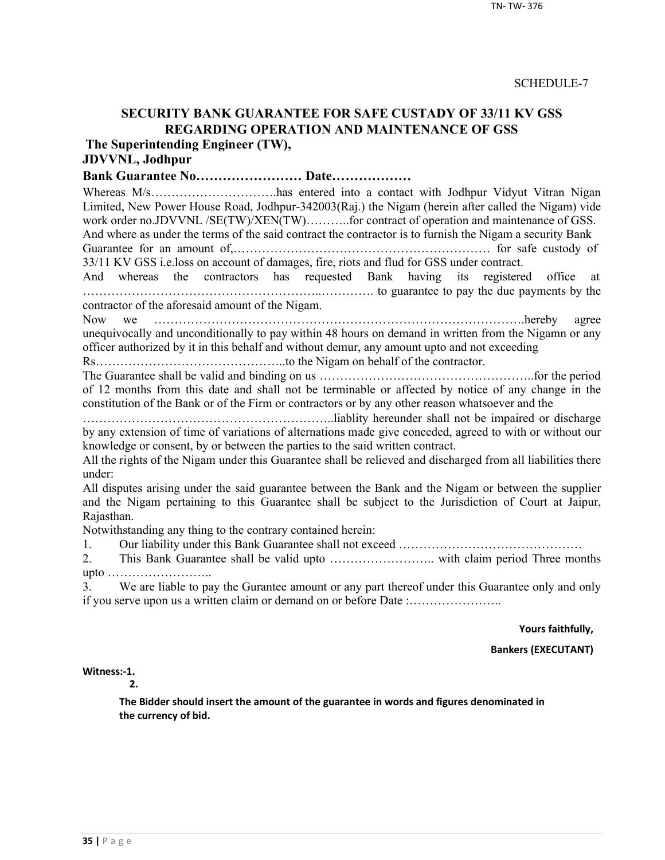## **SECURITY BANK GUARANTEE FOR SAFE CUSTADY OF 33/11 KV GSS REGARDING OPERATION AND MAINTENANCE OF GSS**

**The Superintending Engineer (TW),**

# **JDVVNL, Jodhpur**

**Bank Guarantee No…………………… Date………………**

Whereas M/s…………………………has entered into a contact with Jodhpur Vidyut Vitran Nigan Limited, New Power House Road, Jodhpur-342003(Raj.) the Nigam (herein after called the Nigam) vide work order no.JDVVNL /SE(TW)/XEN(TW)..........for contract of operation and maintenance of GSS. And where as under the terms of the said contract the contractor is to furnish the Nigam a security Bank

Guarantee for an amount of,……………………………………………………… for safe custody of 33/11 KV GSS i.e.loss on account of damages, fire, riots and flud for GSS under contract.

And whereas the contractors has requested Bank having its registered office at …………………………………………………..…………. to guarantee to pay the due payments by the contractor of the aforesaid amount of the Nigam.

Now we ……………………………………………………………………………….hereby agree unequivocally and unconditionally to pay within 48 hours on demand in written from the Nigamn or any officer authorized by it in this behalf and without demur, any amount upto and not exceeding

Rs………………………………………..to the Nigam on behalf of the contractor.

The Guarantee shall be valid and binding on us ……………………………………………..for the period of 12 months from this date and shall not be terminable or affected by notice of any change in the constitution of the Bank or of the Firm or contractors or by any other reason whatsoever and the

……………………………………………………..liablity hereunder shall not be impaired or discharge by any extension of time of variations of alternations made give conceded, agreed to with or without our knowledge or consent, by or between the parties to the said written contract.

All the rights of the Nigam under this Guarantee shall be relieved and discharged from all liabilities there under:

All disputes arising under the said guarantee between the Bank and the Nigam or between the supplier and the Nigam pertaining to this Guarantee shall be subject to the Jurisdiction of Court at Jaipur, Rajasthan.

Notwithstanding any thing to the contrary contained herein:

1. Our liability under this Bank Guarantee shall not exceed ………………………………………

2. This Bank Guarantee shall be valid upto …………………….. with claim period Three months upto ……………………..

3. We are liable to pay the Gurantee amount or any part thereof under this Guarantee only and only if you serve upon us a written claim or demand on or before Date :…………………..

**Yours faithfully,**

**Bankers (EXECUTANT)**

**Witness:-1.** 

**2.**

**The Bidder should insert the amount of the guarantee in words and figures denominated in the currency of bid.**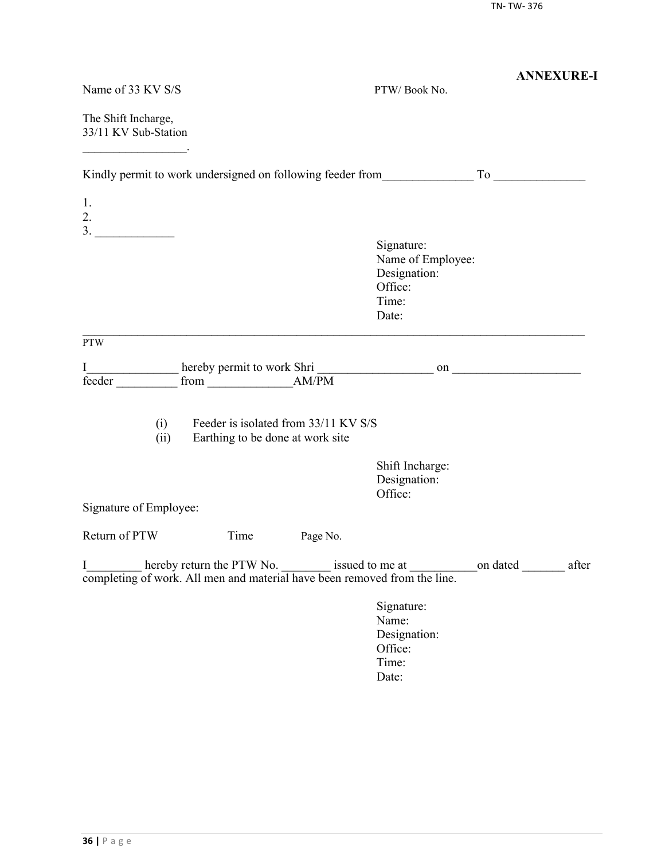|                                                                                |                                                                          |                                                                              | <b>ANNEXURE-I</b> |
|--------------------------------------------------------------------------------|--------------------------------------------------------------------------|------------------------------------------------------------------------------|-------------------|
| Name of 33 KV S/S                                                              |                                                                          | PTW/Book No.                                                                 |                   |
| The Shift Incharge,<br>33/11 KV Sub-Station                                    |                                                                          |                                                                              |                   |
| Kindly permit to work undersigned on following feeder from To                  |                                                                          |                                                                              |                   |
| 1.<br>2.                                                                       |                                                                          |                                                                              |                   |
|                                                                                |                                                                          |                                                                              |                   |
|                                                                                |                                                                          | Signature:<br>Name of Employee:<br>Designation:<br>Office:<br>Time:<br>Date: |                   |
| <b>PTW</b>                                                                     |                                                                          |                                                                              |                   |
| I<br>feeder                                                                    |                                                                          |                                                                              |                   |
| (i)<br>(ii)                                                                    | Feeder is isolated from 33/11 KV S/S<br>Earthing to be done at work site |                                                                              |                   |
|                                                                                |                                                                          | Shift Incharge:<br>Designation:<br>Office:                                   |                   |
| Signature of Employee:                                                         |                                                                          |                                                                              |                   |
| Return of PTW<br>Time                                                          | Page No.                                                                 |                                                                              |                   |
| I<br>completing of work. All men and material have been removed from the line. |                                                                          |                                                                              |                   |
|                                                                                |                                                                          | Signature:<br>Name:<br>Designation:<br>Office:<br>Time:<br>Date:             |                   |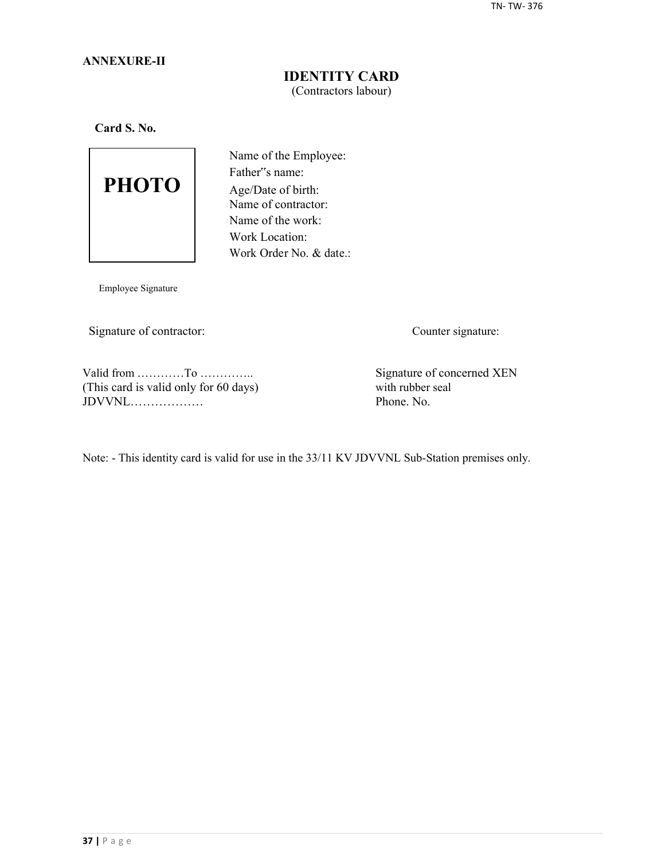## **ANNEXURE-II**

## **IDENTITY CARD** (Contractors labour)

**Card S. No.**



Name of the Employee: Father"s name: Age/Date of birth: Name of contractor: Name of the work: Work Location: Work Order No. & date.:

Employee Signature

Signature of contractor: Counter signature:

Valid from …………To …………..<br>
This card is valid only for 60 days) Signature of concerned XEN<br>
with rubber seal (This card is valid only for 60 days) with rubber seal  $JDVVNL$ 

Note: - This identity card is valid for use in the 33/11 KV JDVVNL Sub-Station premises only.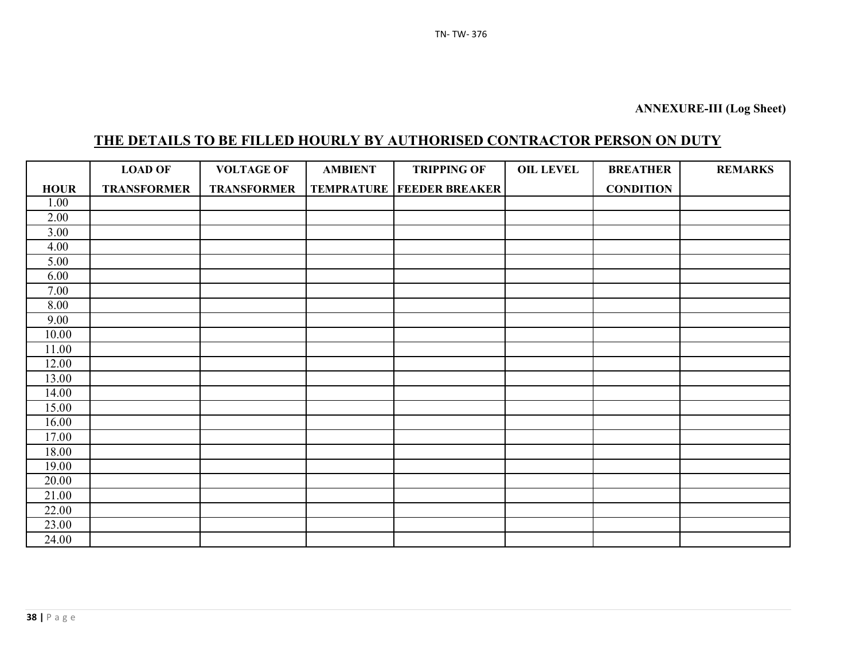# **THE DETAILS TO BE FILLED HOURLY BY AUTHORISED CONTRACTOR PERSON ON DUTY**

|                   | <b>LOAD OF</b>     | <b>VOLTAGE OF</b>  | <b>AMBIENT</b> | <b>TRIPPING OF</b>                   | <b>OIL LEVEL</b> | <b>BREATHER</b>  | <b>REMARKS</b> |
|-------------------|--------------------|--------------------|----------------|--------------------------------------|------------------|------------------|----------------|
| <b>HOUR</b>       | <b>TRANSFORMER</b> | <b>TRANSFORMER</b> |                | <b>TEMPRATURE   FEEDER BREAKER  </b> |                  | <b>CONDITION</b> |                |
| 1.00              |                    |                    |                |                                      |                  |                  |                |
| 2.00              |                    |                    |                |                                      |                  |                  |                |
| $\overline{3.00}$ |                    |                    |                |                                      |                  |                  |                |
| 4.00              |                    |                    |                |                                      |                  |                  |                |
| 5.00              |                    |                    |                |                                      |                  |                  |                |
| 6.00              |                    |                    |                |                                      |                  |                  |                |
| 7.00              |                    |                    |                |                                      |                  |                  |                |
| 8.00              |                    |                    |                |                                      |                  |                  |                |
| 9.00              |                    |                    |                |                                      |                  |                  |                |
| 10.00             |                    |                    |                |                                      |                  |                  |                |
| 11.00             |                    |                    |                |                                      |                  |                  |                |
| 12.00             |                    |                    |                |                                      |                  |                  |                |
| 13.00             |                    |                    |                |                                      |                  |                  |                |
| 14.00             |                    |                    |                |                                      |                  |                  |                |
| 15.00             |                    |                    |                |                                      |                  |                  |                |
| 16.00             |                    |                    |                |                                      |                  |                  |                |
| 17.00             |                    |                    |                |                                      |                  |                  |                |
| 18.00             |                    |                    |                |                                      |                  |                  |                |
| 19.00             |                    |                    |                |                                      |                  |                  |                |
| 20.00             |                    |                    |                |                                      |                  |                  |                |
| 21.00             |                    |                    |                |                                      |                  |                  |                |
| 22.00             |                    |                    |                |                                      |                  |                  |                |
| 23.00             |                    |                    |                |                                      |                  |                  |                |
| 24.00             |                    |                    |                |                                      |                  |                  |                |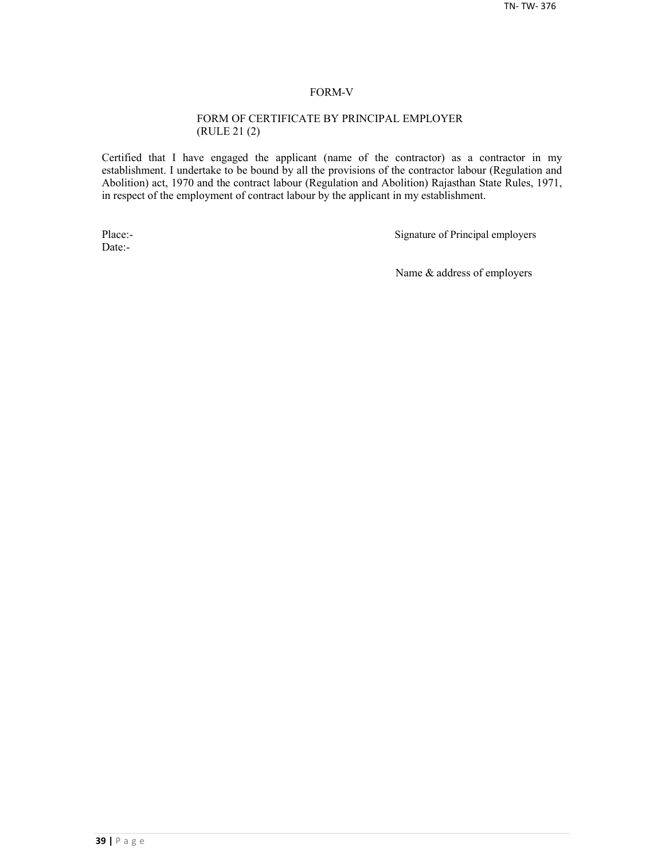#### FORM-V

#### FORM OF CERTIFICATE BY PRINCIPAL EMPLOYER (RULE 21 (2)

Certified that I have engaged the applicant (name of the contractor) as a contractor in my establishment. I undertake to be bound by all the provisions of the contractor labour (Regulation and Abolition) act, 1970 and the contract labour (Regulation and Abolition) Rajasthan State Rules, 1971, in respect of the employment of contract labour by the applicant in my establishment.

Date:-

Place:-<br>
Signature of Principal employers

Name & address of employers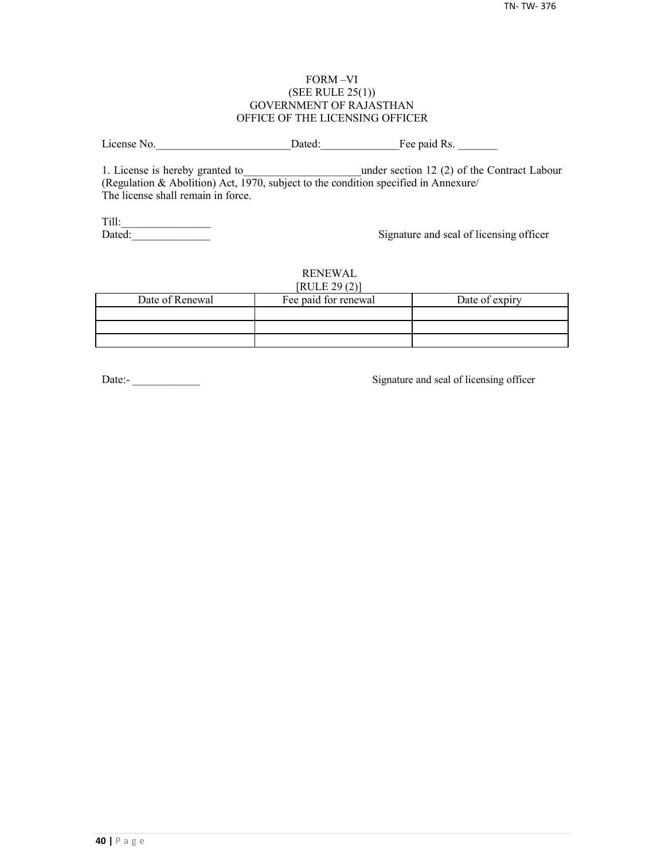#### FORM –VI (SEE RULE 25(1)) GOVERNMENT OF RAJASTHAN OFFICE OF THE LICENSING OFFICER

License No. 2012 Dated: The paid Rs.

1. License is hereby granted to **the under section 12 (2) of the Contract Labour** (Regulation & Abolition) Act, 1970, subject to the condition specified in Annexure/ The license shall remain in force.

Till:\_\_\_\_\_\_\_\_\_\_\_\_\_\_\_\_

Signature and seal of licensing officer

#### RENEWAL  $[PHH]$   $[20(2)]$

| NULEZ9(2)       |                      |                |  |  |  |  |
|-----------------|----------------------|----------------|--|--|--|--|
| Date of Renewal | Fee paid for renewal | Date of expiry |  |  |  |  |
|                 |                      |                |  |  |  |  |
|                 |                      |                |  |  |  |  |
|                 |                      |                |  |  |  |  |

Date:-<br>
Signature and seal of licensing officer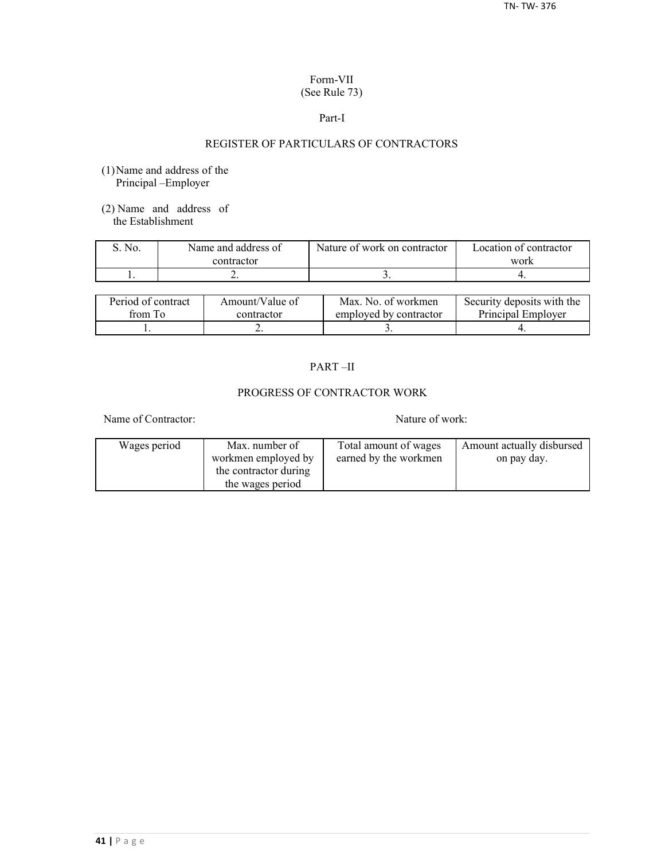## Form-VII (See Rule 73)

#### Part-I

## REGISTER OF PARTICULARS OF CONTRACTORS

- (1)Name and address of the Principal –Employer
- (2) Name and address of the Establishment

| No. | Name and address of | Nature of work on contractor | Location of contractor |  |
|-----|---------------------|------------------------------|------------------------|--|
|     | contractor          |                              | work                   |  |
|     | . .                 |                              |                        |  |

| Period of contract | Amount/Value of | Max. No. of workmen    | Security deposits with the |
|--------------------|-----------------|------------------------|----------------------------|
| from To            | contractor      | employed by contractor | Principal Employer         |
|                    | ∸               |                        |                            |

## PART –II

## PROGRESS OF CONTRACTOR WORK

Name of Contractor: Nature of work:

| Wages period | Max. number of        | Total amount of wages | Amount actually disbursed |
|--------------|-----------------------|-----------------------|---------------------------|
|              | workmen employed by   | earned by the workmen | on pay day.               |
|              | the contractor during |                       |                           |
|              | the wages period      |                       |                           |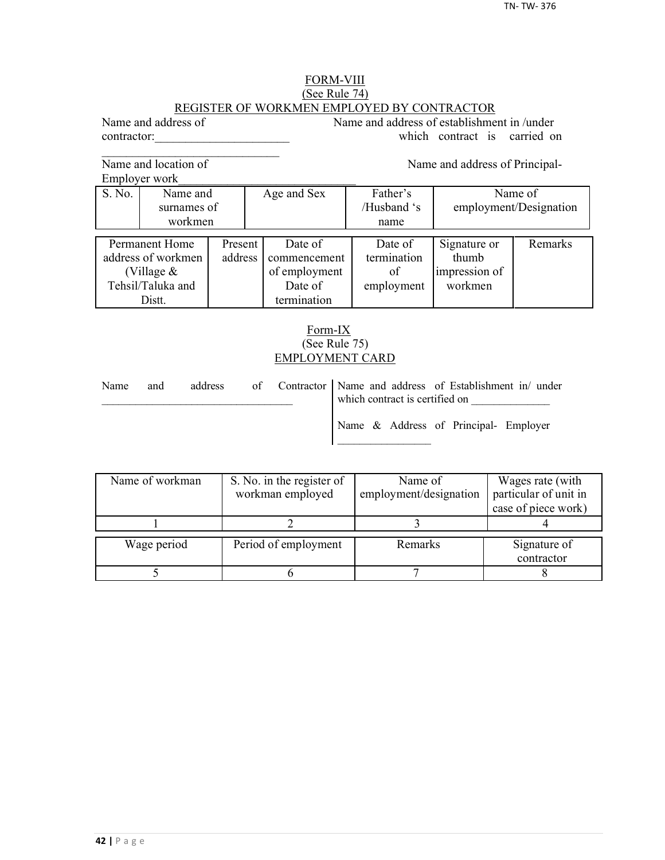#### FORM-VIII (See Rule 74) REGISTER OF WORKMEN EMPLOYED BY CONTRACTOR

Name and address of Name and address of establishment in /under contractor: which contract is carried on

Name and location of Name and address of Principal-

 $\mathcal{L}_\text{max}$ 

Employer work

S. No. Name and Age and Sex Father's Name of surnames of / /Husband 's employment/Designation workmen | name Permanent Home Present Date of Date of Signature or Remarks decrees of workmen address commencement termination thumb address of workmen address commencement termination (Village  $\&$   $\qquad$  of employment of impression of Tehsil/Taluka and **Date of** employment workmen Distt. **termination** 

## Form-IX (See Rule 75) EMPLOYMENT CARD

| Name | and | address |  | of Contractor Name and address of Establishment in/ under<br>which contract is certified on |  |  |
|------|-----|---------|--|---------------------------------------------------------------------------------------------|--|--|
|      |     |         |  | Name & Address of Principal- Employer                                                       |  |  |

| Name of workman | S. No. in the register of | Name of                | Wages rate (with      |  |
|-----------------|---------------------------|------------------------|-----------------------|--|
|                 | workman employed          | employment/designation | particular of unit in |  |
|                 |                           |                        | case of piece work)   |  |
|                 |                           |                        |                       |  |
| Wage period     | Period of employment      | Remarks                | Signature of          |  |
|                 |                           |                        | contractor            |  |
|                 |                           |                        |                       |  |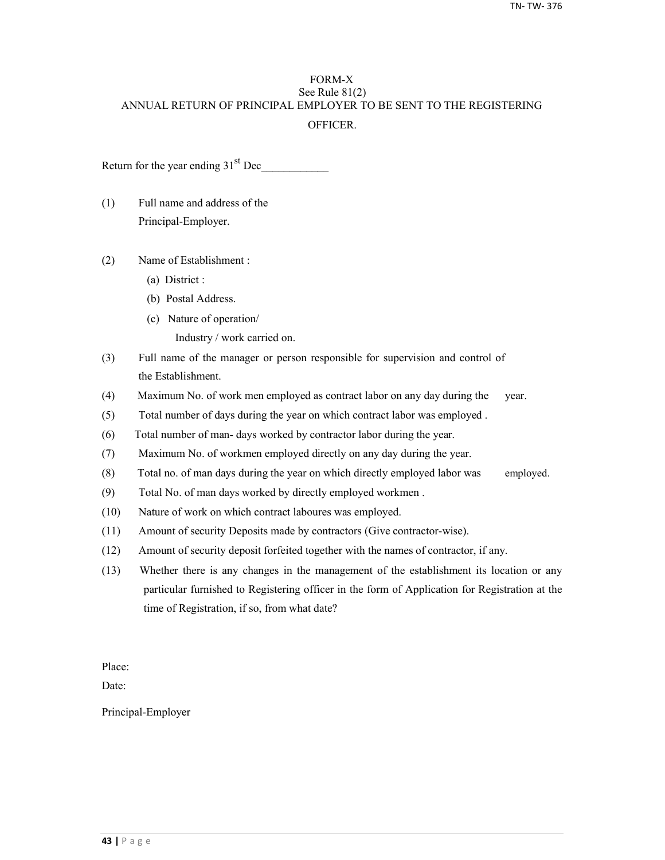## FORM-X See Rule 81(2) ANNUAL RETURN OF PRINCIPAL EMPLOYER TO BE SENT TO THE REGISTERING **OFFICER**

Return for the year ending  $31<sup>st</sup>$  Dec

- (1) Full name and address of the Principal-Employer.
- (2) Name of Establishment :
	- (a) District :
	- (b) Postal Address.
	- (c) Nature of operation/
		- Industry / work carried on.
- (3) Full name of the manager or person responsible for supervision and control of the Establishment.
- (4) Maximum No. of work men employed as contract labor on any day during the year.
- (5) Total number of days during the year on which contract labor was employed .
- (6) Total number of man- days worked by contractor labor during the year.
- (7) Maximum No. of workmen employed directly on any day during the year.
- (8) Total no. of man days during the year on which directly employed labor was employed.
- (9) Total No. of man days worked by directly employed workmen .
- (10) Nature of work on which contract laboures was employed.
- (11) Amount of security Deposits made by contractors (Give contractor-wise).
- (12) Amount of security deposit forfeited together with the names of contractor, if any.
- (13) Whether there is any changes in the management of the establishment its location or any particular furnished to Registering officer in the form of Application for Registration at the time of Registration, if so, from what date?

Place:

Date:

Principal-Employer